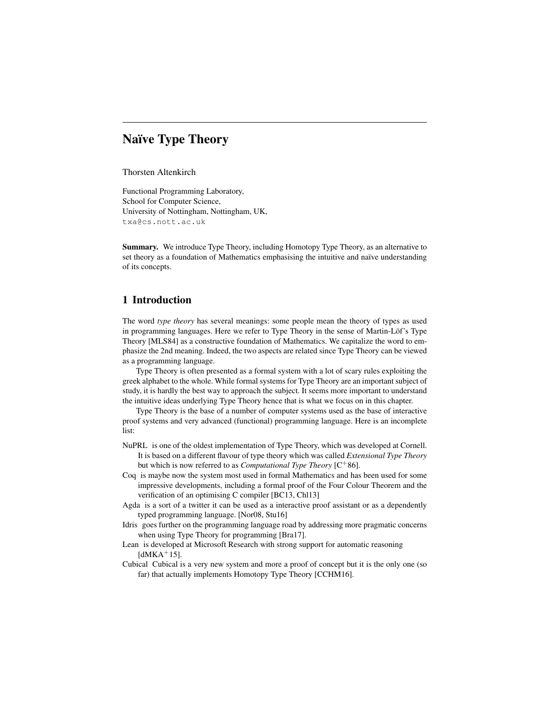# Naïve Type Theory

Thorsten Altenkirch

Functional Programming Laboratory, School for Computer Science, University of Nottingham, Nottingham, UK, txa@cs.nott.ac.uk

Summary. We introduce Type Theory, including Homotopy Type Theory, as an alternative to set theory as a foundation of Mathematics emphasising the intuitive and naïve understanding of its concepts.

# 1 Introduction

The word *type theory* has several meanings: some people mean the theory of types as used in programming languages. Here we refer to Type Theory in the sense of Martin-Löf's Type Theory [MLS84] as a constructive foundation of Mathematics. We capitalize the word to emphasize the 2nd meaning. Indeed, the two aspects are related since Type Theory can be viewed as a programming language.

Type Theory is often presented as a formal system with a lot of scary rules exploiting the greek alphabet to the whole. While formal systems for Type Theory are an important subject of study, it is hardly the best way to approach the subject. It seems more important to understand the intuitive ideas underlying Type Theory hence that is what we focus on in this chapter.

Type Theory is the base of a number of computer systems used as the base of interactive proof systems and very advanced (functional) programming language. Here is an incomplete list:

- NuPRL is one of the oldest implementation of Type Theory, which was developed at Cornell. It is based on a different flavour of type theory which was called *Extensional Type Theory* but which is now referred to as *Computational Type Theory* [C<sup>+</sup>86].
- Coq is maybe now the system most used in formal Mathematics and has been used for some impressive developments, including a formal proof of the Four Colour Theorem and the verification of an optimising C compiler [BC13, Chl13]
- Agda is a sort of a twitter it can be used as a interactive proof assistant or as a dependently typed programming language. [Nor08, Stu16]
- Idris goes further on the programming language road by addressing more pragmatic concerns when using Type Theory for programming [Bra17].
- Lean is developed at Microsoft Research with strong support for automatic reasoning  $[dMKA+15]$ .
- Cubical Cubical is a very new system and more a proof of concept but it is the only one (so far) that actually implements Homotopy Type Theory [CCHM16].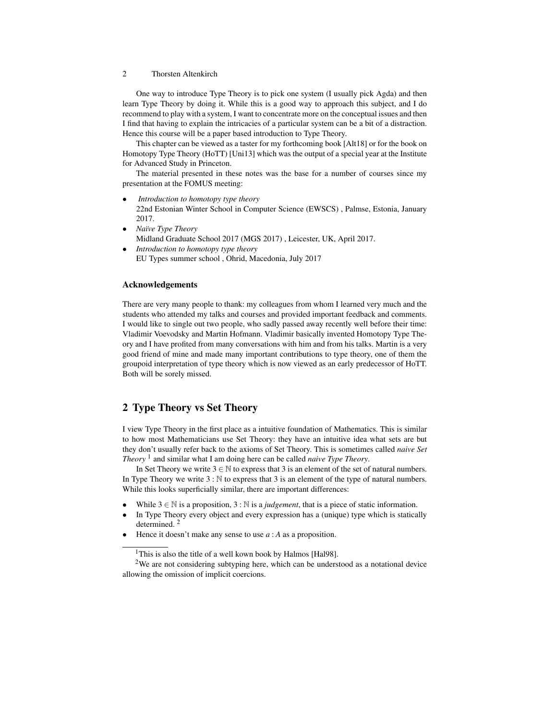One way to introduce Type Theory is to pick one system (I usually pick Agda) and then learn Type Theory by doing it. While this is a good way to approach this subject, and I do recommend to play with a system, I want to concentrate more on the conceptual issues and then I find that having to explain the intricacies of a particular system can be a bit of a distraction. Hence this course will be a paper based introduction to Type Theory.

This chapter can be viewed as a taster for my forthcoming book [Alt18] or for the book on Homotopy Type Theory (HoTT) [Uni13] which was the output of a special year at the Institute for Advanced Study in Princeton.

The material presented in these notes was the base for a number of courses since my presentation at the FOMUS meeting:

- *Introduction to homotopy type theory* 22nd Estonian Winter School in Computer Science (EWSCS) , Palmse, Estonia, January
- 2017. • *Na¨ıve Type Theory* Midland Graduate School 2017 (MGS 2017) , Leicester, UK, April 2017.
- *Introduction to homotopy type theory* EU Types summer school , Ohrid, Macedonia, July 2017

# Acknowledgements

There are very many people to thank: my colleagues from whom I learned very much and the students who attended my talks and courses and provided important feedback and comments. I would like to single out two people, who sadly passed away recently well before their time: Vladimir Voevodsky and Martin Hofmann. Vladimir basically invented Homotopy Type Theory and I have profited from many conversations with him and from his talks. Martin is a very good friend of mine and made many important contributions to type theory, one of them the groupoid interpretation of type theory which is now viewed as an early predecessor of HoTT. Both will be sorely missed.

# 2 Type Theory vs Set Theory

I view Type Theory in the first place as a intuitive foundation of Mathematics. This is similar to how most Mathematicians use Set Theory: they have an intuitive idea what sets are but they don't usually refer back to the axioms of Set Theory. This is sometimes called *naive Set Theory* <sup>1</sup> and similar what I am doing here can be called *naive Type Theory*.

In Set Theory we write  $3 \in \mathbb{N}$  to express that 3 is an element of the set of natural numbers. In Type Theory we write  $3 : \mathbb{N}$  to express that 3 is an element of the type of natural numbers. While this looks superficially similar, there are important differences:

- While  $3 \in \mathbb{N}$  is a proposition,  $3 : \mathbb{N}$  is a *judgement*, that is a piece of static information.
- In Type Theory every object and every expression has a (unique) type which is statically determined. <sup>2</sup>
- Hence it doesn't make any sense to use *a* : *A* as a proposition.

<sup>&</sup>lt;sup>1</sup>This is also the title of a well kown book by Halmos [Hal98].

<sup>&</sup>lt;sup>2</sup>We are not considering subtyping here, which can be understood as a notational device allowing the omission of implicit coercions.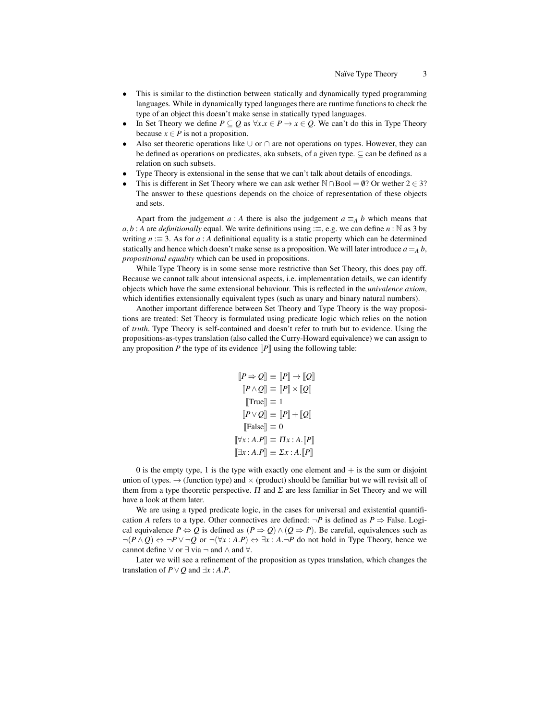- This is similar to the distinction between statically and dynamically typed programming languages. While in dynamically typed languages there are runtime functions to check the type of an object this doesn't make sense in statically typed languages.
- In Set Theory we define *P* ⊆ *Q* as  $\forall x.x \in P \rightarrow x \in Q$ . We can't do this in Type Theory because  $x \in P$  is not a proposition.
- Also set theoretic operations like ∪ or ∩ are not operations on types. However, they can be defined as operations on predicates, aka subsets, of a given type.  $\subset$  can be defined as a relation on such subsets.
- Type Theory is extensional in the sense that we can't talk about details of encodings.
- This is different in Set Theory where we can ask wether  $\mathbb{N} \cap \text{Bool} = \emptyset$ ? Or wether 2 ∈ 3? The answer to these questions depends on the choice of representation of these objects and sets.

Apart from the judgement *a* : *A* there is also the judgement  $a \equiv_A b$  which means that  $a, b : A$  are *definitionally* equal. We write definitions using  $:=$ , e.g. we can define *n* : N as 3 by writing *n* :≡ 3. As for *a* : *A* definitional equality is a static property which can be determined statically and hence which doesn't make sense as a proposition. We will later introduce  $a = A b$ , *propositional equality* which can be used in propositions.

While Type Theory is in some sense more restrictive than Set Theory, this does pay off. Because we cannot talk about intensional aspects, i.e. implementation details, we can identify objects which have the same extensional behaviour. This is reflected in the *univalence axiom*, which identifies extensionally equivalent types (such as unary and binary natural numbers).

Another important difference between Set Theory and Type Theory is the way propositions are treated: Set Theory is formulated using predicate logic which relies on the notion of *truth*. Type Theory is self-contained and doesn't refer to truth but to evidence. Using the propositions-as-types translation (also called the Curry-Howard equivalence) we can assign to any proposition *P* the type of its evidence  $\llbracket P \rrbracket$  using the following table:

$$
[P \Rightarrow Q] \equiv [P] \rightarrow [Q]
$$

$$
[P \land Q] \equiv [P] \times [Q]
$$

$$
[True] \equiv 1
$$

$$
[P \lor Q] \equiv [P] + [Q]
$$

$$
[False] \equiv 0
$$

$$
[\forall x : A.P] \equiv \Pi x : A.[P]
$$

$$
[\exists x : A.P] \equiv \Sigma x : A.[P]
$$

0 is the empty type, 1 is the type with exactly one element and  $+$  is the sum or disjoint union of types.  $\rightarrow$  (function type) and  $\times$  (product) should be familiar but we will revisit all of them from a type theoretic perspective.  $\Pi$  and  $\Sigma$  are less familiar in Set Theory and we will have a look at them later.

We are using a typed predicate logic, in the cases for universal and existential quantification *A* refers to a type. Other connectives are defined:  $\neg P$  is defined as  $P \Rightarrow$  False. Logical equivalence  $P \Leftrightarrow Q$  is defined as  $(P \Rightarrow Q) \wedge (Q \Rightarrow P)$ . Be careful, equivalences such as  $\neg (P \land Q) \Leftrightarrow \neg P \lor \neg Q$  or  $\neg (\forall x : A.P) \Leftrightarrow \exists x : A.\neg P$  do not hold in Type Theory, hence we cannot define  $\vee$  or  $\exists$  via  $\neg$  and  $\wedge$  and  $\forall$ .

Later we will see a refinement of the proposition as types translation, which changes the translation of  $P \vee Q$  and  $\exists x : A.P$ .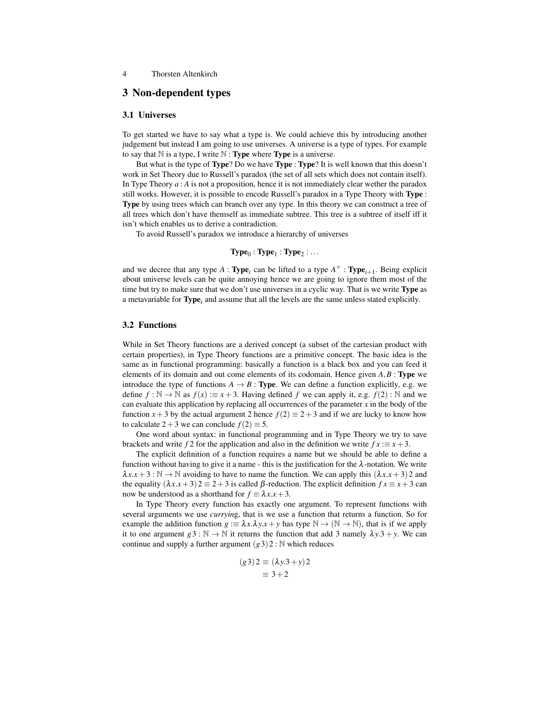# 3 Non-dependent types

# 3.1 Universes

To get started we have to say what a type is. We could achieve this by introducing another judgement but instead I am going to use universes. A universe is a type of types. For example to say that  $N$  is a type, I write  $N$  : **Type** where **Type** is a universe.

But what is the type of Type? Do we have Type : Type? It is well known that this doesn't work in Set Theory due to Russell's paradox (the set of all sets which does not contain itself). In Type Theory *a* : *A* is not a proposition, hence it is not immediately clear wether the paradox still works. However, it is possible to encode Russell's paradox in a Type Theory with Type : Type by using trees which can branch over any type. In this theory we can construct a tree of all trees which don't have themself as immediate subtree. This tree is a subtree of itself iff it isn't which enables us to derive a contradiction.

To avoid Russell's paradox we introduce a hierarchy of universes

$$
Type_0:Type_1:Type_2:...
$$

and we decree that any type  $A: \textbf{Type}_i$  can be lifted to a type  $A^+ : \textbf{Type}_{i+1}$ . Being explicit about universe levels can be quite annoying hence we are going to ignore them most of the time but try to make sure that we don't use universes in a cyclic way. That is we write Type as a metavariable for Type*<sup>i</sup>* and assume that all the levels are the same unless stated explicitly.

### 3.2 Functions

While in Set Theory functions are a derived concept (a subset of the cartesian product with certain properties), in Type Theory functions are a primitive concept. The basic idea is the same as in functional programming: basically a function is a black box and you can feed it elements of its domain and out come elements of its codomain. Hence given  $A, B$ : **Type** we introduce the type of functions  $A \rightarrow B$ : **Type**. We can define a function explicitly, e.g. we define *f* : N → N as  $f(x) := x + 3$ . Having defined *f* we can apply it, e.g.  $f(2)$  : N and we can evaluate this application by replacing all occurrences of the parameter *x* in the body of the function  $x + 3$  by the actual argument 2 hence  $f(2) \equiv 2 + 3$  and if we are lucky to know how to calculate  $2+3$  we can conclude  $f(2) \equiv 5$ .

One word about syntax: in functional programming and in Type Theory we try to save brackets and write  $f$  2 for the application and also in the definition we write  $fx := x + 3$ .

The explicit definition of a function requires a name but we should be able to define a function without having to give it a name - this is the justification for the  $\lambda$ -notation. We write  $\lambda x.x + 3 : \mathbb{N} \to \mathbb{N}$  avoiding to have to name the function. We can apply this  $(\lambda x.x + 3)2$  and the equality  $(\lambda x.x + 3)2 \equiv 2 + 3$  is called  $\beta$ -reduction. The explicit definition  $fx \equiv x + 3$  can now be understood as a shorthand for  $f \equiv \lambda x.x + 3$ .

In Type Theory every function has exactly one argument. To represent functions with several arguments we use *curryin*g, that is we use a function that returns a function. So for example the addition function  $g := \lambda x \cdot \lambda y \cdot x + y$  has type  $\mathbb{N} \to (\mathbb{N} \to \mathbb{N})$ , that is if we apply it to one argument  $g3 : \mathbb{N} \to \mathbb{N}$  it returns the function that add 3 namely  $\lambda y.3 + y$ . We can continue and supply a further argument  $(g3)2 : \mathbb{N}$  which reduces

$$
(g3)2 \equiv (\lambda y.3 + y)2
$$

$$
\equiv 3 + 2
$$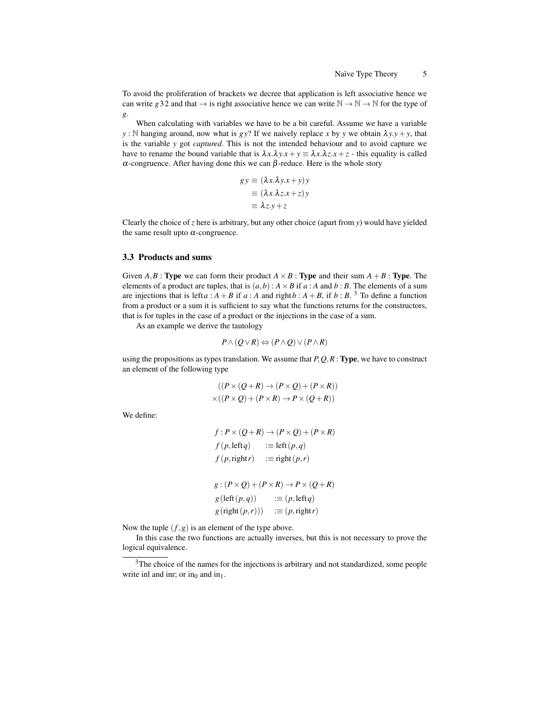To avoid the proliferation of brackets we decree that application is left associative hence we can write *g* 32 and that  $\rightarrow$  is right associative hence we can write  $\mathbb{N} \rightarrow \mathbb{N} \rightarrow \mathbb{N}$  for the type of *g*.

When calculating with variables we have to be a bit careful. Assume we have a variable *y* : N hanging around, now what is *gy*? If we naively replace *x* by *y* we obtain  $\lambda y \cdot y + y$ , that is the variable *y* got *captured*. This is not the intended behaviour and to avoid capture we have to rename the bound variable that is  $\lambda x.\lambda y.x + y \equiv \lambda x.\lambda z.x + z$  - this equality is called α-congruence. After having done this we can β-reduce. Here is the whole story

$$
gy \equiv (\lambda x.\lambda y.x + y)y
$$
  

$$
\equiv (\lambda x.\lambda z.x + z)y
$$
  

$$
\equiv \lambda z.y + z
$$

Clearly the choice of *z* here is arbitrary, but any other choice (apart from *y*) would have yielded the same result upto  $\alpha$ -congruence.

#### 3.3 Products and sums

Given *A*, *B* : **Type** we can form their product  $A \times B$  : **Type** and their sum  $A + B$  : **Type**. The elements of a product are tuples, that is  $(a,b)$  :  $A \times B$  if  $a : A$  and  $b : B$ . The elements of a sum are injections that is left *a* :  $A + B$  if *a* :  $A$  and right  $b : A + B$ , if  $b : B$ . <sup>3</sup> To define a function from a product or a sum it is sufficient to say what the functions returns for the constructors, that is for tuples in the case of a product or the injections in the case of a sum.

As an example we derive the tautology

$$
P \wedge (Q \vee R) \Leftrightarrow (P \wedge Q) \vee (P \wedge R)
$$

using the propositions as types translation. We assume that *P*,*Q*,*R* : Type, we have to construct an element of the following type

$$
((P \times (Q + R) \to (P \times Q) + (P \times R))
$$
  
×
$$
((P \times Q) + (P \times R) \to P \times (Q + R))
$$

We define:

$$
f: P \times (Q + R) \rightarrow (P \times Q) + (P \times R)
$$
  
\n
$$
f(p, leftq) := left(p,q)
$$
  
\n
$$
f(p, right r) := right(p,r)
$$
  
\n
$$
g: (P \times Q) + (P \times R) \rightarrow P \times (Q + R)
$$
  
\n
$$
g (left(p,q)) := (p, leftq)
$$
  
\n
$$
g (right(p,r))) := (p, rightr)
$$

Now the tuple  $(f, g)$  is an element of the type above.

In this case the two functions are actually inverses, but this is not necessary to prove the logical equivalence.

<sup>&</sup>lt;sup>3</sup>The choice of the names for the injections is arbitrary and not standardized, some people write inl and inr; or in<sub>0</sub> and in<sub>1</sub>.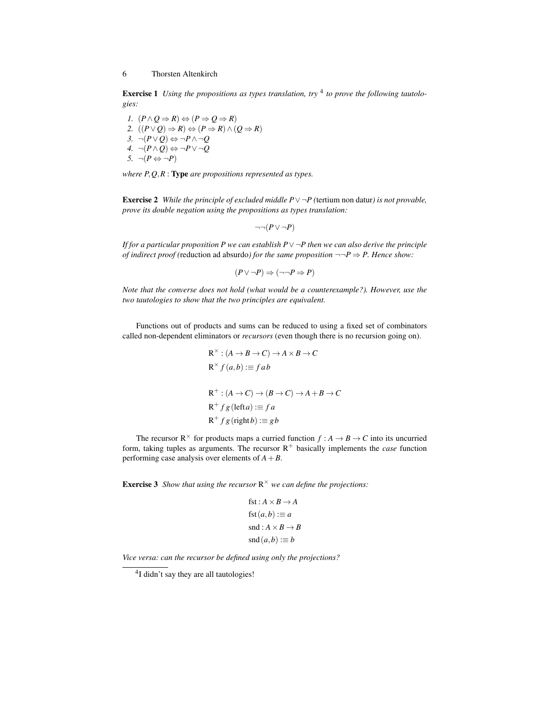**Exercise 1** Using the propositions as types translation, try <sup>4</sup> to prove the following tautolo*gies:*

1. 
$$
(P \land Q \Rightarrow R) \Leftrightarrow (P \Rightarrow Q \Rightarrow R)
$$
  
\n2.  $((P \lor Q) \Rightarrow R) \Leftrightarrow (P \Rightarrow R) \land (Q \Rightarrow R)$   
\n3.  $\neg (P \lor Q) \Leftrightarrow \neg P \land \neg Q$   
\n4.  $\neg (P \land Q) \Leftrightarrow \neg P \lor \neg Q$   
\n5.  $\neg (P \Leftrightarrow \neg P)$ 

*where P*,*Q*,*R* : Type *are propositions represented as types.*

Exercise 2 *While the principle of excluded middle P*∨¬*P (*tertium non datur*) is not provable, prove its double negation using the propositions as types translation:*

$$
\neg\neg(P \vee \neg P)
$$

*If for a particular proposition P we can establish P*  $\vee$  ¬*P* then we can also derive the principle *of indirect proof (reduction ad absurdo) for the same proposition*  $\neg \neg P \Rightarrow P$ . Hence show:

$$
(P \lor \neg P) \Rightarrow (\neg \neg P \Rightarrow P)
$$

*Note that the converse does not hold (what would be a counterexample?). However, use the two tautologies to show that the two principles are equivalent.*

Functions out of products and sums can be reduced to using a fixed set of combinators called non-dependent eliminators or *recursors* (even though there is no recursion going on).

$$
R^{\times} : (A \to B \to C) \to A \times B \to C
$$
  
\n
$$
R^{\times} f(a, b) := fab
$$
  
\n
$$
R^+ : (A \to C) \to (B \to C) \to A + B \to C
$$
  
\n
$$
R^+ fg (left a) := fa
$$
  
\n
$$
R^+ fg (right b) := gb
$$

The recursor  $R^{\times}$  for products maps a curried function  $f : A \rightarrow B \rightarrow C$  into its uncurried form, taking tuples as arguments. The recursor  $R^+$  basically implements the *case* function performing case analysis over elements of *A*+*B*.

**Exercise 3** Show that using the recursor  $\mathbb{R}^{\times}$  we can define the projections:

$$
fst : A \times B \to A
$$
  
fst  $(a, b) := a$   
snd  $: A \times B \to B$   
snd  $(a, b) := b$ 

*Vice versa: can the recursor be defined using only the projections?*

<sup>&</sup>lt;sup>4</sup>I didn't say they are all tautologies!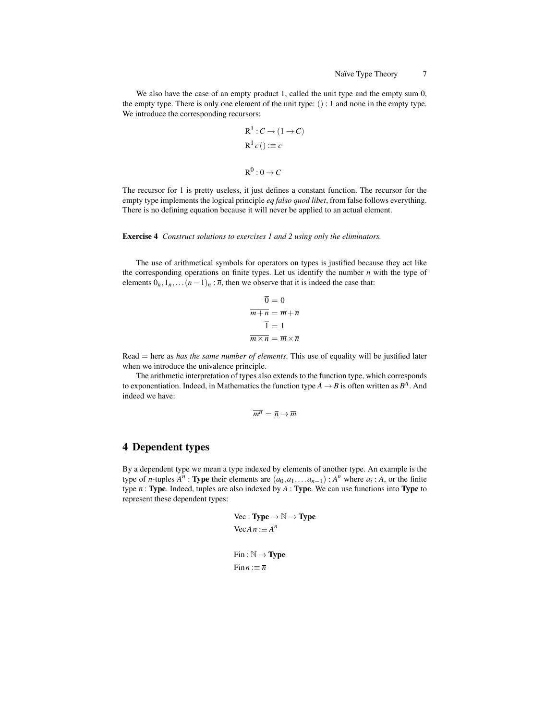We also have the case of an empty product 1, called the unit type and the empty sum 0, the empty type. There is only one element of the unit type: () : 1 and none in the empty type. We introduce the corresponding recursors:

$$
R^{1}: C \to (1 \to C)
$$
  

$$
R^{1} c () := c
$$
  

$$
R^{0}: 0 \to C
$$

The recursor for 1 is pretty useless, it just defines a constant function. The recursor for the empty type implements the logical principle *eq falso quod libet*, from false follows everything. There is no defining equation because it will never be applied to an actual element.

#### Exercise 4 *Construct solutions to exercises 1 and 2 using only the eliminators.*

The use of arithmetical symbols for operators on types is justified because they act like the corresponding operations on finite types. Let us identify the number *n* with the type of elements  $0_n, 1_n, \ldots (n-1)_n : \overline{n}$ , then we observe that it is indeed the case that:

$$
\overline{0} = 0
$$
  

$$
\overline{m+n} = \overline{m} + \overline{n}
$$
  

$$
\overline{1} = 1
$$
  

$$
\overline{m \times n} = \overline{m} \times \overline{n}
$$

Read = here as *has the same number of elements*. This use of equality will be justified later when we introduce the univalence principle.

The arithmetic interpretation of types also extends to the function type, which corresponds to exponentiation. Indeed, in Mathematics the function type  $A \rightarrow B$  is often written as  $B^A$ . And indeed we have:

$$
\overline{m^n} = \overline{n} \to \overline{m}
$$

# 4 Dependent types

By a dependent type we mean a type indexed by elements of another type. An example is the type of *n*-tuples  $A^n$ : **Type** their elements are  $(a_0, a_1, \ldots a_{n-1})$ :  $A^n$  where  $a_i$ : *A*, or the finite type *n* : Type. Indeed, tuples are also indexed by *A* : Type. We can use functions into Type to represent these dependent types:

$$
\text{Vec}: \textbf{Type} \to \mathbb{N} \to \textbf{Type}
$$
\n
$$
\text{Vec} \, A \, n := A^n
$$
\n
$$
\text{Fin}: \mathbb{N} \to \textbf{Type}
$$
\n
$$
\text{Fin} \, n := \overline{n}
$$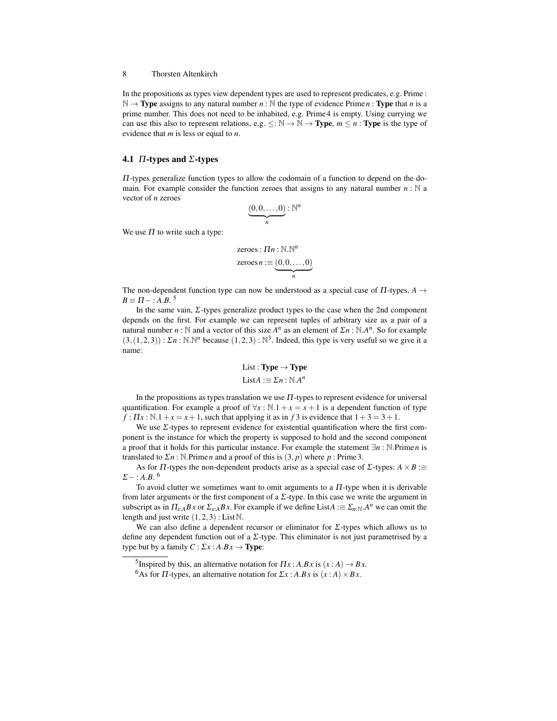In the propositions as types view dependent types are used to represent predicates, e.g. Prime :  $\mathbb{N} \to \mathbf{Type}$  assigns to any natural number  $n : \mathbb{N}$  the type of evidence Prime *n* : **Type** that *n* is a prime number. This does not need to be inhabited, e.g. Prime 4 is empty. Using currying we can use this also to represent relations, e.g.  $\leq : \mathbb{N} \to \mathbb{N} \to \mathbb{T}$ ype,  $m \leq n : \mathbb{T}$ ype is the type of evidence that *m* is less or equal to *n*.

# 4.1  $\Pi$ -types and  $\Sigma$ -types

 $\Pi$ -types generalize function types to allow the codomain of a function to depend on the domain. For example consider the function zeroes that assigns to any natural number  $n : \mathbb{N}$  a vector of *n* zeroes

$$
\underbrace{(0,0,\ldots,0)}_n : \mathbb{N}^n
$$

We use  $\Pi$  to write such a type:

$$
\mathsf{zeros}: \Pi n : \mathbb{N}.\mathbb{N}^n
$$

$$
\mathsf{zeros}\, n := \underbrace{(0,0,\ldots,0)}_{n}
$$

The non-dependent function type can now be understood as a special case of  $\Pi$ -types,  $A \rightarrow$  $B \equiv \Pi -$ : *A.B.*<sup>5</sup>

In the same vain,  $\Sigma$ -types generalize product types to the case when the 2nd component depends on the first. For example we can represent tuples of arbitrary size as a pair of a natural number *n* : N and a vector of this size  $A^n$  as an element of  $\sum n : \mathbb{N} A^n$ . So for example  $(3,(1,2,3))$ :  $\Sigma n$ : N.N<sup>n</sup> because  $(1,2,3)$ : N<sup>3</sup>. Indeed, this type is very useful so we give it a name:

List : **Type** 
$$
\rightarrow
$$
 **Type**  
List $A := \Sigma n : \mathbb{N} A^n$ 

In the propositions as types translation we use  $\Pi$ -types to represent evidence for universal quantification. For example a proof of  $\forall x : \mathbb{N} \cdot 1 + x = x + 1$  is a dependent function of type  $f: \Pi x : \mathbb{N} \cdot 1 + x = x + 1$ , such that applying it as in *f* 3 is evidence that  $1+3 = 3+1$ .

We use Σ-types to represent evidence for existential quantification where the first component is the instance for which the property is supposed to hold and the second component a proof that it holds for this particular instance. For example the statement ∃*n* : N.Prime*n* is translated to Σ*n* : N.Prime*n* and a proof of this is (3, *p*) where *p* : Prime 3.

As for  $\Pi$ -types the non-dependent products arise as a special case of  $\Sigma$ -types:  $A \times B :=$  $\Sigma-$ : *A.B.*<sup>6</sup>

To avoid clutter we sometimes want to omit arguments to a  $\Pi$ -type when it is derivable from later arguments or the first component of a  $\Sigma$ -type. In this case we write the argument in subscript as in  $\Pi_{x:A} Bx$  or  $\Sigma_{x:A} Bx$ . For example if we define List $A := \Sigma_{n:\mathbb{N}} A^n$  we can omit the length and just write  $(1,2,3)$ : List $\mathbb N$ .

We can also define a dependent recursor or eliminator for  $\Sigma$ -types which allows us to define any dependent function out of a  $\Sigma$ -type. This eliminator is not just parametrised by a type but by a family  $C: \Sigma x : A.Bx \rightarrow Type$ :

<sup>&</sup>lt;sup>5</sup> Inspired by this, an alternative notation for  $\Pi x$  :  $A.Bx$  is  $(x : A) \rightarrow Bx$ .

<sup>&</sup>lt;sup>6</sup>As for  $\Pi$ -types, an alternative notation for  $\Sigma x$ :  $A.Bx$  is  $(x : A) \times Bx$ .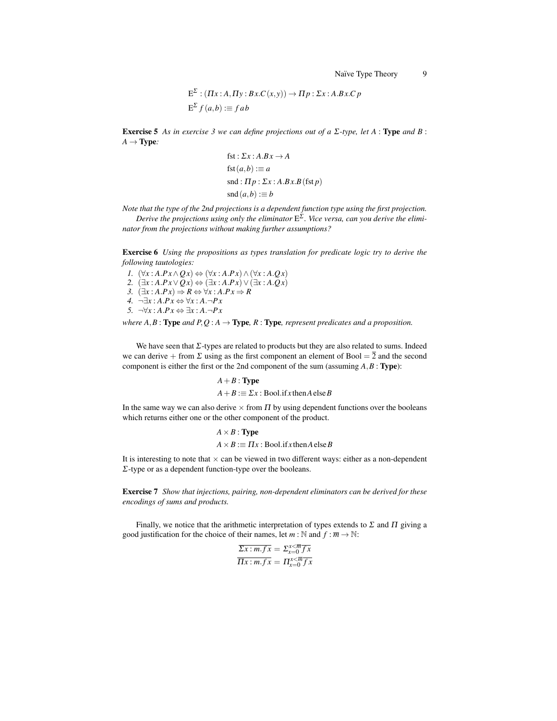$$
E^{2}: (\Pi x:A,\Pi y:Bx.C(x,y)) \to \Pi p:\Sigma x:A.Bx.C p
$$
  

$$
E^{2} f(a,b) := f ab
$$

Exercise 5 *As in exercise 3 we can define projections out of a* Σ*-type, let A* : Type *and B* :  $A \rightarrow$  Type:

$$
fst : \Sigma x : A.Bx \rightarrow A
$$
  
\n
$$
fst (a, b) := a
$$
  
\n
$$
snd : \Pi p : \Sigma x : A.Bx.B \text{ (fst } p)
$$
  
\n
$$
snd (a, b) := b
$$

*Note that the type of the 2nd projections is a dependent function type using the first projection. Derive the projections using only the eliminator* E Σ *. Vice versa, can you derive the elimi-*

*nator from the projections without making further assumptions?*

Exercise 6 *Using the propositions as types translation for predicate logic try to derive the following tautologies:*

*I.*  $(\forall x : A.Px \land Qx) \Leftrightarrow (\forall x : A.Px) \land (\forall x : A.Qx)$ *2.*  $(\exists x : A.Px \lor Qx) \Leftrightarrow (\exists x : A.Px) \lor (\exists x : A.Qx)$ *3.* (∃*x* : *A*.*P x*) ⇒ *R* ⇔ ∀*x* : *A*.*P x* ⇒ *R 4.* ¬∃*x* : *A*.*P x* ⇔ ∀*x* : *A*.¬*P x 5.*  $\neg \forall x : A.Px \Leftrightarrow \exists x : A.\neg Px$ 

Σ

*where*  $A, B$ : **Type** and  $P, Q: A \rightarrow$  **Type**,  $R:$  **Type**, *represent predicates and a proposition.* 

We have seen that  $\Sigma$ -types are related to products but they are also related to sums. Indeed we can derive + from  $\Sigma$  using as the first component an element of Bool =  $\overline{2}$  and the second component is either the first or the 2nd component of the sum (assuming *A*,*B* : Type):

*A*+*B* : Type

 $A + B := \sum x : \text{Bool.}$ if *x* then *A* else *B* 

In the same way we can also derive  $\times$  from  $\Pi$  by using dependent functions over the booleans which returns either one or the other component of the product.

$$
A \times B : \textbf{Type}
$$
  

$$
A \times B := \Pi x : \textbf{Bool}.\text{if } x \text{ then } A \text{ else } B
$$

It is interesting to note that  $\times$  can be viewed in two different ways: either as a non-dependent Σ-type or as a dependent function-type over the booleans.

Exercise 7 *Show that injections, pairing, non-dependent eliminators can be derived for these encodings of sums and products.*

Finally, we notice that the arithmetic interpretation of types extends to  $\Sigma$  and  $\Pi$  giving a good justification for the choice of their names, let  $m : \mathbb{N}$  and  $f : \overline{m} \to \mathbb{N}$ :

$$
\overline{\Sigma x : m.fx} = \Sigma_{x=0}^{x < \overline{m} \overline{f}x}
$$

$$
\overline{\Pi x : m.fx} = \Pi_{x=0}^{x < \overline{m} \overline{f}x}
$$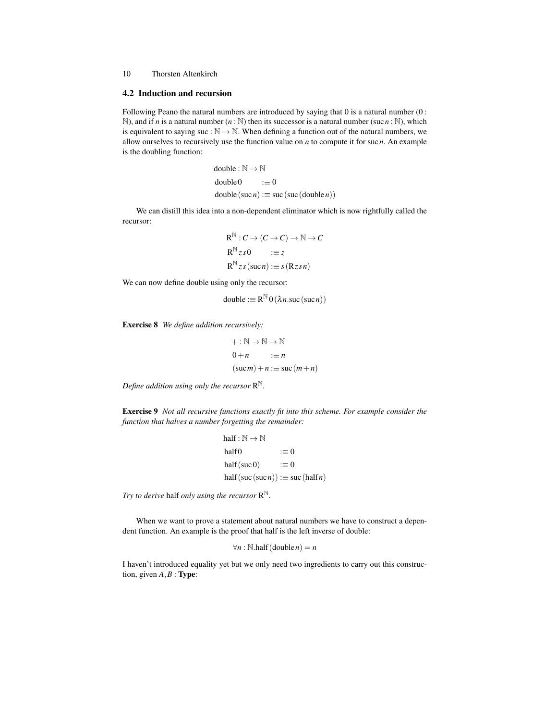#### 4.2 Induction and recursion

Following Peano the natural numbers are introduced by saying that 0 is a natural number (0 : N), and if *n* is a natural number  $(n : N)$  then its successor is a natural number (suc*n* : N), which is equivalent to saying suc :  $\mathbb{N} \to \mathbb{N}$ . When defining a function out of the natural numbers, we allow ourselves to recursively use the function value on *n* to compute it for suc*n*. An example is the doubling function:

$$
\begin{aligned}\n\text{double}: \mathbb{N} \to \mathbb{N} \\
\text{double0} &:= 0 \\
\text{double}(\text{such}) &:= \text{suc}(\text{suc}(\text{double } n))\n\end{aligned}
$$

We can distill this idea into a non-dependent eliminator which is now rightfully called the recursor:

$$
R^{\mathbb{N}}: C \to (C \to C) \to \mathbb{N} \to C
$$
  
\n
$$
R^{\mathbb{N}}zs0 \qquad := z
$$
  
\n
$$
R^{\mathbb{N}}zs(sucn) := s(Rzsn)
$$

We can now define double using only the recursor:

$$
double := R^{\mathbb{N}} 0 (\lambda n . \text{succ} (\text{succ} n))
$$

Exercise 8 *We define addition recursively:*

$$
+: \mathbb{N} \to \mathbb{N} \to \mathbb{N}
$$
  
\n
$$
0 + n := n
$$
  
\n
$$
(\text{such}) + n := \text{succ}(m + n)
$$

*Define addition using only the recursor* R N*.*

Exercise 9 *Not all recursive functions exactly fit into this scheme. For example consider the function that halves a number forgetting the remainder:*

half: 
$$
\mathbb{N} \to \mathbb{N}
$$
  
half0  $\mathrel{\mathop:}= 0$   
half (suc0)  $\mathrel{\mathop:}= 0$   
half (suc (suc n))  $\mathrel{\mathop:}= \text{succ} (\text{half } n)$ 

*Try to derive* half *only using the recursor* R N*.*

When we want to prove a statement about natural numbers we have to construct a dependent function. An example is the proof that half is the left inverse of double:

$$
\forall n : \mathbb{N}.\text{half}(\text{double } n) = n
$$

I haven't introduced equality yet but we only need two ingredients to carry out this construction, given  $A, B$  : **Type**: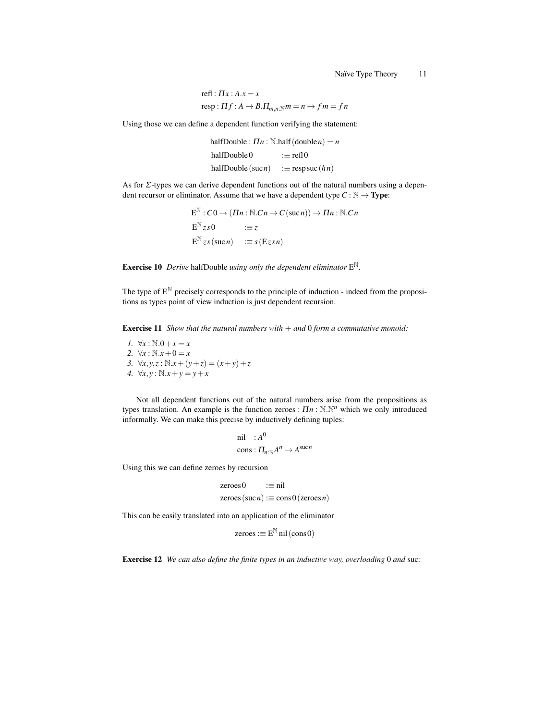refl: 
$$
\Pi x : A.x = x
$$
  
resp:  $\Pi f : A \rightarrow B.\Pi_{m,n:\mathbb{N}}m = n \rightarrow f m = f n$ 

Using those we can define a dependent function verifying the statement:

halfDouble :  $\prod n : \mathbb{N}$ .half(double*n*) = *n* halfDouble  $0 := \text{refl} \, 0$ halfDouble (suc *n*)  $:=$  resp suc (*h n*)

As for Σ-types we can derive dependent functions out of the natural numbers using a dependent recursor or eliminator. Assume that we have a dependent type  $C : \mathbb{N} \to \textbf{Type}$ :

> $E^{\mathbb{N}}: C0 \to (\Pi n : \mathbb{N}.Cn \to C(\mathrm{succ} n)) \to \Pi n : \mathbb{N}.Cn$  $E^{\mathbb{N}} z s 0$  := z  $E^{\mathbb{N}} z s(\text{succ } n) \quad := s(Ez s n)$

Exercise 10 *Derive* halfDouble *using only the dependent eliminator* E N*.*

The type of  $E^{\mathbb{N}}$  precisely corresponds to the principle of induction - indeed from the propositions as types point of view induction is just dependent recursion.

Exercise 11 *Show that the natural numbers with* + *and* 0 *form a commutative monoid:*

*1.* ∀*x* :  $\mathbb{N}.0 + x = x$ 2.  $\forall x : \mathbb{N}.x + 0 = x$ *3.* ∀*x*, *y*, *z* :  $\mathbb{N} \cdot x + (y + z) = (x + y) + z$ *4.* ∀*x*, *y* :  $\mathbb{N}.x + y = y + x$ 

Not all dependent functions out of the natural numbers arise from the propositions as types translation. An example is the function zeroes : Π*n* : N.N *<sup>n</sup>* which we only introduced informally. We can make this precise by inductively defining tuples:

$$
\begin{aligned}\n\text{nil} &\quad : A^0 \\
\text{cons} &\quad : \Pi_{n: \mathbb{N}} A^n \to A^{\text{succ}} \n\end{aligned}
$$

Using this we can define zeroes by recursion

$$
zeros0 := nil
$$
  
zeros( $succ$ ) :=  $cons0$ (zerosn)

This can be easily translated into an application of the eliminator

$$
zeroes := E^{\mathbb{N}} \text{nil} (cons \, 0)
$$

Exercise 12 *We can also define the finite types in an inductive way, overloading* 0 *and* suc*:*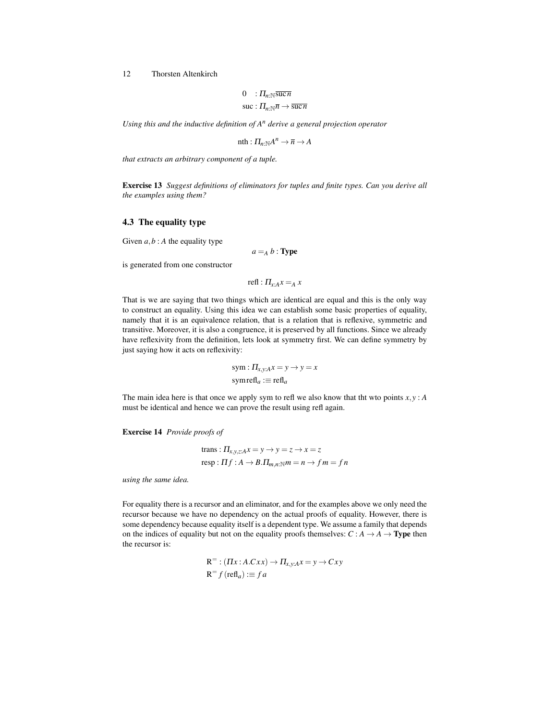$$
0 \quad : \Pi_{n:\mathbb{N}} \overline{\text{succ } n}
$$

$$
\text{succ } : \Pi_{n:\mathbb{N}} \overline{n} \to \overline{\text{succ } n}
$$

*Using this and the inductive definition of A<sup>n</sup> derive a general projection operator*

$$
\operatorname{nth}: \Pi_{n: \mathbb{N}} A^n \to \overline{n} \to A
$$

*that extracts an arbitrary component of a tuple.*

Exercise 13 *Suggest definitions of eliminators for tuples and finite types. Can you derive all the examples using them?*

# 4.3 The equality type

Given  $a, b$ : *A* the equality type

$$
a =_A b : \textbf{Type}
$$

is generated from one constructor

$$
\text{refl}: \Pi_{x:A} x =_A x
$$

That is we are saying that two things which are identical are equal and this is the only way to construct an equality. Using this idea we can establish some basic properties of equality, namely that it is an equivalence relation, that is a relation that is reflexive, symmetric and transitive. Moreover, it is also a congruence, it is preserved by all functions. Since we already have reflexivity from the definition, lets look at symmetry first. We can define symmetry by just saying how it acts on reflexivity:

$$
sym: \Pi_{x,y:A} x = y \to y = x
$$
  
symrefl<sub>a</sub> := refl<sub>a</sub>

The main idea here is that once we apply sym to refl we also know that the wto points  $x, y$ : *A* must be identical and hence we can prove the result using refl again.

Exercise 14 *Provide proofs of*

trans: 
$$
\Pi_{x,y,z:A}x = y \rightarrow y = z \rightarrow x = z
$$
  
resp:  $\Pi f : A \rightarrow B.\Pi_{m,n}: \mathbb{N}^m = n \rightarrow f m = f n$ 

*using the same idea.*

For equality there is a recursor and an eliminator, and for the examples above we only need the recursor because we have no dependency on the actual proofs of equality. However, there is some dependency because equality itself is a dependent type. We assume a family that depends on the indices of equality but not on the equality proofs themselves:  $C : A \rightarrow A \rightarrow$  **Type** then the recursor is:

$$
R^{=} : (IIx : A.Cxx) \to II_{x,y:A}x = y \to Cxy
$$
  

$$
R^{=} f (refl_a) := fa
$$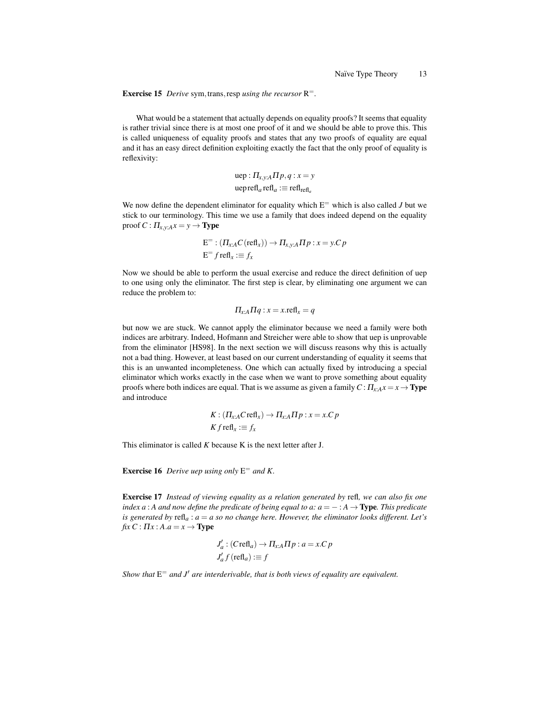Exercise 15 *Derive* sym, trans, resp *using the recursor*  $R^=$ .

What would be a statement that actually depends on equality proofs? It seems that equality is rather trivial since there is at most one proof of it and we should be able to prove this. This is called uniqueness of equality proofs and states that any two proofs of equality are equal and it has an easy direct definition exploiting exactly the fact that the only proof of equality is reflexivity:

$$
\text{uep}: \Pi_{x,y:A} \Pi p, q: x = y
$$
\n
$$
\text{ueprefl}_a \text{refl}_a := \text{refl}_{\text{refl}_a}
$$

We now define the dependent eliminator for equality which  $E^=$  which is also called *J* but we stick to our terminology. This time we use a family that does indeed depend on the equality proof  $C: \Pi_{x,y:A} x = y \rightarrow$  **Type** 

$$
E^=:(\Pi_{x:A}C(\text{refl}_x))\to \Pi_{x,y:A}\Pi p:x=y.C p
$$
  

$$
E^=f\text{refl}_x:=f_x
$$

Now we should be able to perform the usual exercise and reduce the direct definition of uep to one using only the eliminator. The first step is clear, by eliminating one argument we can reduce the problem to:

$$
\Pi_{x:A}\Pi q: x=x.\text{refl}_x=q
$$

but now we are stuck. We cannot apply the eliminator because we need a family were both indices are arbitrary. Indeed, Hofmann and Streicher were able to show that uep is unprovable from the eliminator [HS98]. In the next section we will discuss reasons why this is actually not a bad thing. However, at least based on our current understanding of equality it seems that this is an unwanted incompleteness. One which can actually fixed by introducing a special eliminator which works exactly in the case when we want to prove something about equality proofs where both indices are equal. That is we assume as given a family  $C: \Pi_{x}A^x = x \rightarrow$  **Type** and introduce

$$
K: (\Pi_{x:A} C \text{refl}_x) \to \Pi_{x:A} \Pi p : x = x.C p
$$
  

$$
K f \text{refl}_x := f_x
$$

This eliminator is called *K* because K is the next letter after J.

Exercise 16 *Derive uep using only* E <sup>=</sup> *and K.*

Exercise 17 *Instead of viewing equality as a relation generated by* refl*, we can also fix one index a* : *A* and now define the predicate of being equal to a:  $a = - : A \rightarrow Type$ . This predicate *is generated by*  $\text{refl}_a$ :  $a = a$  so no change here. However, the eliminator looks different. Let's  $fix C: \Pi x: A.a = x \rightarrow \text{Type}$ 

$$
J'_a : (Crefl_a) \to \Pi_{x:A} \Pi p : a = x.C p
$$
  

$$
J'_a f (refl_a) := f
$$

Show that  $E^=$  and  $J'$  are interderivable, that is both views of equality are equivalent.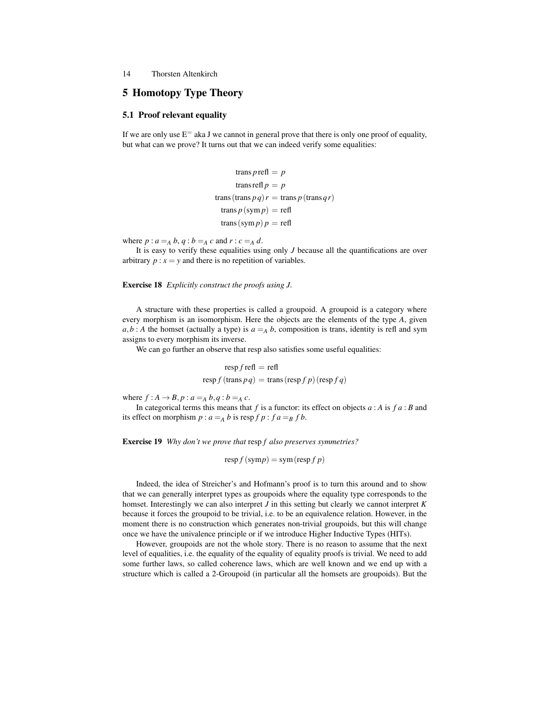# 5 Homotopy Type Theory

# 5.1 Proof relevant equality

If we are only use  $E^=$  aka J we cannot in general prove that there is only one proof of equality, but what can we prove? It turns out that we can indeed verify some equalities:

$$
trans prefl = p
$$
  
trans refl p = p  
trans (trans p q) r = trans p (trans qr)  
trans p (sym p) = refl  
trans (sym p) p = refl

where  $p: a =_A b, q: b =_A c$  and  $r: c =_A d$ .

It is easy to verify these equalities using only *J* because all the quantifications are over arbitrary  $p : x = y$  and there is no repetition of variables.

Exercise 18 *Explicitly construct the proofs using J.*

A structure with these properties is called a groupoid. A groupoid is a category where every morphism is an isomorphism. Here the objects are the elements of the type *A*, given  $a, b : A$  the homset (actually a type) is  $a = A$  *b*, composition is trans, identity is refl and sym assigns to every morphism its inverse.

We can go further an observe that resp also satisfies some useful equalities:

$$
resp f \text{ refl} = \text{refl}
$$

$$
resp f (\text{trans } pq) = \text{trans} (resp f p) (resp f q)
$$

where  $f : A \rightarrow B$ ,  $p : a =_A b$ ,  $q : b =_A c$ .

In categorical terms this means that *f* is a functor: its effect on objects *a* : *A* is *f a* : *B* and its effect on morphism  $p : a =_A b$  is resp  $f p : f a =_B f b$ .

Exercise 19 *Why don't we prove that* resp *f also preserves symmetries?*

$$
resp f (symp) = sym (resp f p)
$$

Indeed, the idea of Streicher's and Hofmann's proof is to turn this around and to show that we can generally interpret types as groupoids where the equality type corresponds to the homset. Interestingly we can also interpret *J* in this setting but clearly we cannot interpret *K* because it forces the groupoid to be trivial, i.e. to be an equivalence relation. However, in the moment there is no construction which generates non-trivial groupoids, but this will change once we have the univalence principle or if we introduce Higher Inductive Types (HITs).

However, groupoids are not the whole story. There is no reason to assume that the next level of equalities, i.e. the equality of the equality of equality proofs is trivial. We need to add some further laws, so called coherence laws, which are well known and we end up with a structure which is called a 2-Groupoid (in particular all the homsets are groupoids). But the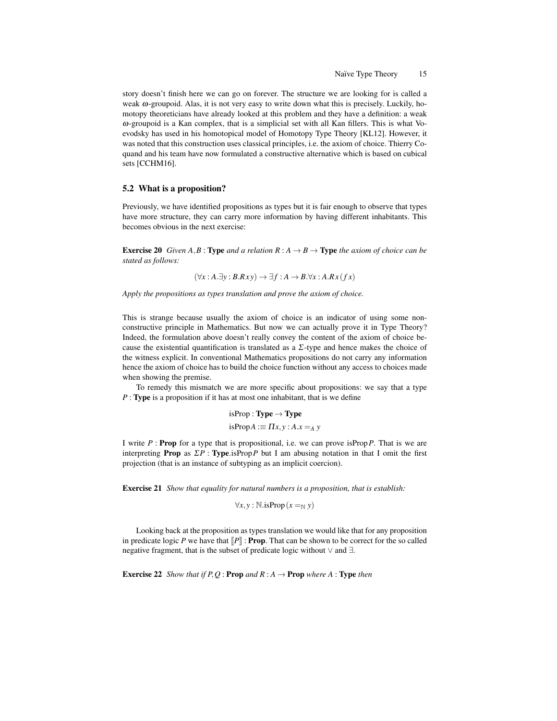story doesn't finish here we can go on forever. The structure we are looking for is called a weak  $\omega$ -groupoid. Alas, it is not very easy to write down what this is precisely. Luckily, homotopy theoreticians have already looked at this problem and they have a definition: a weak ω-groupoid is a Kan complex, that is a simplicial set with all Kan fillers. This is what Voevodsky has used in his homotopical model of Homotopy Type Theory [KL12]. However, it was noted that this construction uses classical principles, i.e. the axiom of choice. Thierry Coquand and his team have now formulated a constructive alternative which is based on cubical sets [CCHM16].

# 5.2 What is a proposition?

Previously, we have identified propositions as types but it is fair enough to observe that types have more structure, they can carry more information by having different inhabitants. This becomes obvious in the next exercise:

**Exercise 20** *Given*  $A, B$  : **Type** and a relation  $R : A \rightarrow B \rightarrow$  **Type** the axiom of choice can be *stated as follows:*

$$
(\forall x:A.\exists y:B.Rxy) \to \exists f:A \to B.\forall x:A.Rx(fx)
$$

*Apply the propositions as types translation and prove the axiom of choice.*

This is strange because usually the axiom of choice is an indicator of using some nonconstructive principle in Mathematics. But now we can actually prove it in Type Theory? Indeed, the formulation above doesn't really convey the content of the axiom of choice because the existential quantification is translated as a  $\Sigma$ -type and hence makes the choice of the witness explicit. In conventional Mathematics propositions do not carry any information hence the axiom of choice has to build the choice function without any access to choices made when showing the premise.

To remedy this mismatch we are more specific about propositions: we say that a type *P* : **Type** is a proposition if it has at most one inhabitant, that is we define

> isProp: Type  $\rightarrow$  Type  $isProp A := \Pi x, y : A.x =_A y$

I write *P* : Prop for a type that is propositional, i.e. we can prove isProp*P*. That is we are interpreting **Prop** as  $\Sigma P$ : **Type**.isProp *P* but I am abusing notation in that I omit the first projection (that is an instance of subtyping as an implicit coercion).

Exercise 21 *Show that equality for natural numbers is a proposition, that is establish:*

 $∀x, y : ℕ.isProp(x =_N y)$ 

Looking back at the proposition as types translation we would like that for any proposition in predicate logic *P* we have that  $\llbracket P \rrbracket$  : **Prop**. That can be shown to be correct for the so called negative fragment, that is the subset of predicate logic without ∨ and ∃.

**Exercise 22** *Show that if P, Q : Prop and R : A*  $\rightarrow$  *Prop where A : Type then*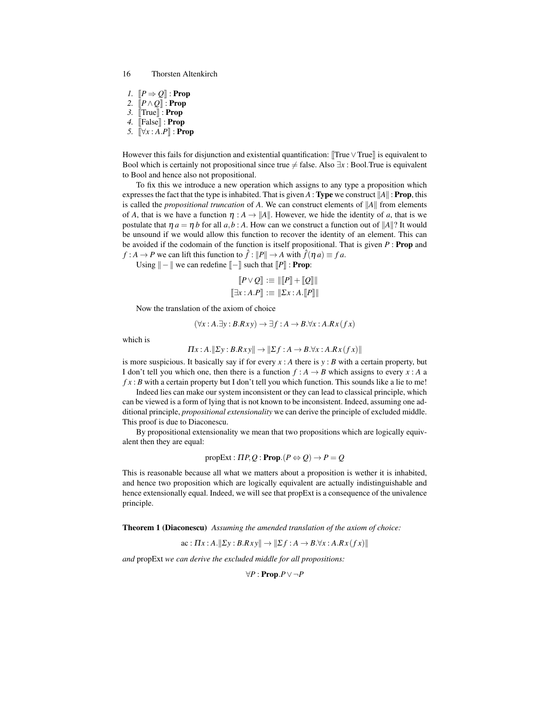*1.*  $[ P \Rightarrow O ]$ : **Prop** *2.* [[*P*∧*Q*]] : Prop *3.* [[True]] : Prop *4.* [[False]] : Prop *5.*  $\left[\forall x : A.P\right]$  : **Prop** 

However this fails for disjunction and existential quantification: [True ∨ True]] is equivalent to Bool which is certainly not propositional since true  $\neq$  false. Also  $\exists x :$  Bool. True is equivalent to Bool and hence also not propositional.

To fix this we introduce a new operation which assigns to any type a proposition which expresses the fact that the type is inhabited. That is given *A* : Type we construct ||*A*|| : Prop, this is called the *propositional truncation* of *A*. We can construct elements of ||*A*|| from elements of *A*, that is we have a function  $\eta : A \to \|A\|$ . However, we hide the identity of *a*, that is we postulate that  $\eta a = \eta b$  for all  $a, b : A$ . How can we construct a function out of  $||A||$ ? It would be unsound if we would allow this function to recover the identity of an element. This can be avoided if the codomain of the function is itself propositional. That is given *P* : Prop and  $f : A \to P$  we can lift this function to  $\hat{f} : ||P|| \to A$  with  $\hat{f}(\eta a) \equiv f a$ .

Using  $\|-$  || we can redefine  $\|-$  || such that  $\|P\|$  : **Prop**:

$$
\begin{aligned}\n[P \vee Q] &\coloneqq \| [P] + [Q] \| \\
[\exists x : A.P] &\coloneqq \| \Sigma x : A.[P] \| \n\end{aligned}
$$

Now the translation of the axiom of choice

$$
(\forall x:A.\exists y:B.Rxy) \to \exists f:A \to B.\forall x:A.Rx(fx)
$$

which is

$$
\Pi x:A.\|\Sigma y:B.Rxy\|\to \|\Sigma f:A\to B.\forall x:A.Rx(fx)\|
$$

is more suspicious. It basically say if for every  $x : A$  there is  $y : B$  with a certain property, but I don't tell you which one, then there is a function  $f : A \rightarrow B$  which assigns to every  $x : A$  a  $fx : B$  with a certain property but I don't tell you which function. This sounds like a lie to me!

Indeed lies can make our system inconsistent or they can lead to classical principle, which can be viewed is a form of lying that is not known to be inconsistent. Indeed, assuming one additional principle, *propositional extensionality* we can derive the principle of excluded middle. This proof is due to Diaconescu.

By propositional extensionality we mean that two propositions which are logically equivalent then they are equal:

$$
propExt: \Pi P, Q: \textbf{Prop}.(P \Leftrightarrow Q) \rightarrow P = Q
$$

This is reasonable because all what we matters about a proposition is wether it is inhabited, and hence two proposition which are logically equivalent are actually indistinguishable and hence extensionally equal. Indeed, we will see that propExt is a consequence of the univalence principle.

Theorem 1 (Diaconescu) *Assuming the amended translation of the axiom of choice:*

$$
\text{ac}: \Pi x:A. \|\Sigma y:B.Rxy\| \to \|\Sigma f:A \to B.\forall x:A.Rx(fx)\|
$$

*and* propExt *we can derive the excluded middle for all propositions:*

$$
\forall P : \mathbf{Prop}.P \vee \neg P
$$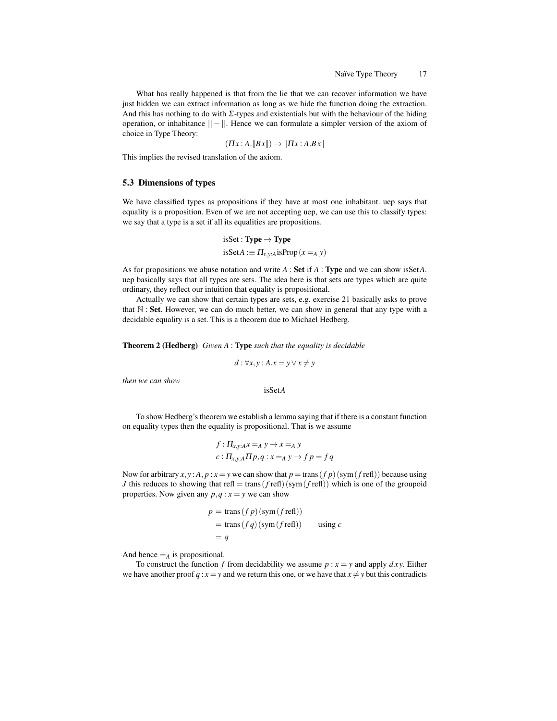What has really happened is that from the lie that we can recover information we have just hidden we can extract information as long as we hide the function doing the extraction. And this has nothing to do with  $\Sigma$ -types and existentials but with the behaviour of the hiding operation, or inhabitance  $|| - ||$ . Hence we can formulate a simpler version of the axiom of choice in Type Theory:

$$
(\Pi x:A.\|Bx\|) \rightarrow \|\Pi x:A.Bx\|
$$

This implies the revised translation of the axiom.

### 5.3 Dimensions of types

We have classified types as propositions if they have at most one inhabitant. uep says that equality is a proposition. Even of we are not accepting uep, we can use this to classify types: we say that a type is a set if all its equalities are propositions.

isSet : **Type** 
$$
\rightarrow
$$
 **Type**  
isSet*A* :=  $\Pi_{x,y:A}$ isProp  $(x =_A y)$ 

As for propositions we abuse notation and write *A* : Set if *A* : Type and we can show isSet*A*. uep basically says that all types are sets. The idea here is that sets are types which are quite ordinary, they reflect our intuition that equality is propositional.

Actually we can show that certain types are sets, e.g. exercise 21 basically asks to prove that  $N$  : **Set**. However, we can do much better, we can show in general that any type with a decidable equality is a set. This is a theorem due to Michael Hedberg.

#### Theorem 2 (Hedberg) *Given A* : Type *such that the equality is decidable*

$$
d: \forall x, y: A.x = y \lor x \neq y
$$

*then we can show*

isSet*A*

To show Hedberg's theorem we establish a lemma saying that if there is a constant function on equality types then the equality is propositional. That is we assume

$$
f: \Pi_{x,y:A} x =_A y \to x =_A y
$$
  

$$
c: \Pi_{x,y:A} \Pi p, q: x =_A y \to f p = f q
$$

Now for arbitrary  $x, y$ :  $A, p$ :  $x = y$  we can show that  $p = \text{trans}(fp)$  (sym( $f$  refl)) because using *J* this reduces to showing that refl = trans( $f$  refl)( $sym(f$  refl)) which is one of the groupoid properties. Now given any  $p, q : x = y$  we can show

$$
p = \text{trans}(f p) (\text{sym}(f \text{ ref})))
$$
  
= trans(f q) (sym(f \text{ ref}))) using c  
= q

And hence  $=_A$  is propositional.

To construct the function *f* from decidability we assume  $p : x = y$  and apply  $dxy$ . Either we have another proof  $q : x = y$  and we return this one, or we have that  $x \neq y$  but this contradicts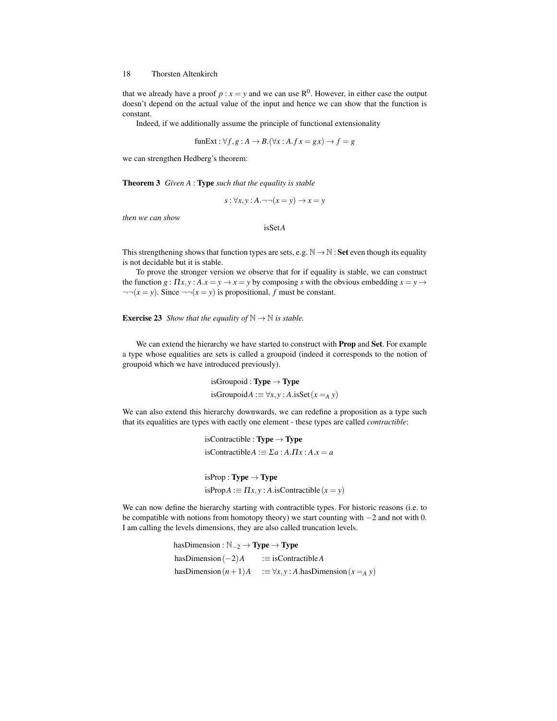that we already have a proof  $p : x = y$  and we can use  $\mathbb{R}^0$ . However, in either case the output doesn't depend on the actual value of the input and hence we can show that the function is constant.

Indeed, if we additionally assume the principle of functional extensionality

funExt : ∀ *f*,*g* : *A* → *B*.(∀*x* : *A*. *f x* = *g x*) → *f* = *g*

we can strengthen Hedberg's theorem:

Theorem 3 *Given A* : Type *such that the equality is stable*

 $s: \forall x, y: A. \neg\neg(x = y) \rightarrow x = y$ 

*then we can show*

isSet*A*

This strengthening shows that function types are sets, e.g.  $\mathbb{N} \to \mathbb{N}$ : Set even though its equality is not decidable but it is stable.

To prove the stronger version we observe that for if equality is stable, we can construct the function  $g: \Pi x, y: A.x = y \rightarrow x = y$  by composing *s* with the obvious embedding  $x = y \rightarrow y$  $\neg\neg(x = y)$ . Since  $\neg\neg(x = y)$  is propositional, *f* must be constant.

**Exercise 23** *Show that the equality of*  $\mathbb{N} \to \mathbb{N}$  *is stable.* 

We can extend the hierarchy we have started to construct with Prop and Set. For example a type whose equalities are sets is called a groupoid (indeed it corresponds to the notion of groupoid which we have introduced previously).

> isGroupoid : **Type**  $\rightarrow$  **Type** isGroupoid*A* :≡  $\forall x, y$  : *A*.isSet(*x* =*A y*)

We can also extend this hierarchy downwards, we can redefine a proposition as a type such that its equalities are types with eactly one element - these types are called *contractible*:

> isContractible : **Type**  $\rightarrow$  **Type**  $i$ **sContractible** $A := \Sigma a : A \cdot \Pi x : A \cdot x = a$

 $isProp : Type \rightarrow Type$  $isProp A := \Pi x, y : A.isContractible (x = y)$ 

We can now define the hierarchy starting with contractible types. For historic reasons (i.e. to be compatible with notions from homotopy theory) we start counting with −2 and not with 0. I am calling the levels dimensions, they are also called truncation levels.

> hasDimension :  $\mathbb{N}_{-2} \to \text{Type} \to \text{Type}$ hasDimension(−2)*A* :≡ isContractible*A* hasDimension $(n+1)A$  :≡  $\forall x, y$  : *A*.hasDimension $(x =_A y)$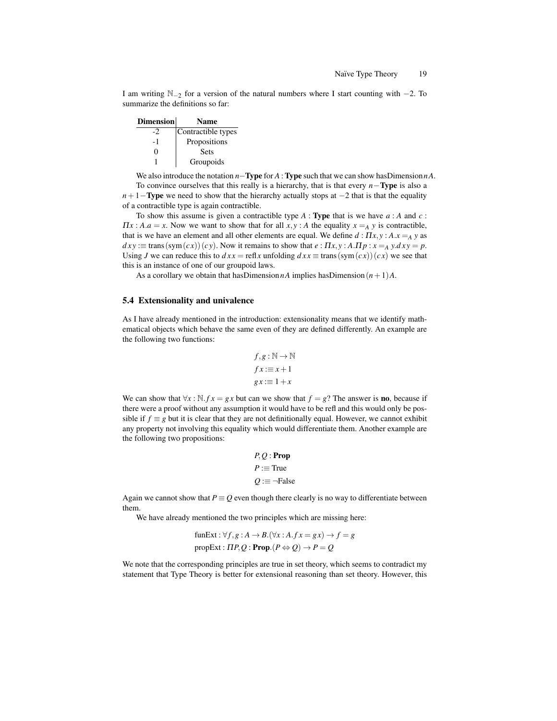I am writing  $\mathbb{N}_{-2}$  for a version of the natural numbers where I start counting with  $-2$ . To summarize the definitions so far:

| <b>Dimension</b> | <b>Name</b>        |
|------------------|--------------------|
| -2               | Contractible types |
| - 1              | Propositions       |
| 0                | <b>Sets</b>        |
|                  | Groupoids          |

We also introduce the notation *n*−**Type** for *A* : **Type** such that we can show hasDimension *nA*.

To convince ourselves that this really is a hierarchy, that is that every *n*−Type is also a *n*+1−**Type** we need to show that the hierarchy actually stops at −2 that is that the equality of a contractible type is again contractible.

To show this assume is given a contractible type *A* : Type that is we have *a* : *A* and *c* :  $\Pi x$ :  $A.a = x$ . Now we want to show that for all  $x, y$ : *A* the equality  $x = A y$  is contractible, that is we have an element and all other elements are equal. We define  $d : \Pi x, y : A.x =_A y$  as  $dx y := \text{trans}(\text{sym}(cx))(cy)$ . Now it remains to show that  $e : \Pi x, y : A.\Pi p : x =_A y. dx y = p$ . Using *J* we can reduce this to  $dx x = \text{refl } x$  unfolding  $dx x \equiv \text{trans}(\text{sym}(cx))(cx)$  we see that this is an instance of one of our groupoid laws.

As a corollary we obtain that hasDimension  $nA$  implies hasDimension  $(n+1)A$ .

# 5.4 Extensionality and univalence

As I have already mentioned in the introduction: extensionality means that we identify mathematical objects which behave the same even of they are defined differently. An example are the following two functions:

$$
f, g: \mathbb{N} \to \mathbb{N}
$$

$$
fx := x + 1
$$

$$
gx := 1 + x
$$

We can show that  $\forall x : \mathbb{N}$ . *f*  $x = gx$  but can we show that  $f = g$ ? The answer is **no**, because if there were a proof without any assumption it would have to be refl and this would only be possible if  $f \equiv g$  but it is clear that they are not definitionally equal. However, we cannot exhibit any property not involving this equality which would differentiate them. Another example are the following two propositions:

$$
P, Q : \textbf{Prop}
$$

$$
P := \text{True}
$$

$$
Q := \neg \text{False}
$$

Again we cannot show that  $P \equiv Q$  even though there clearly is no way to differentiate between them.

We have already mentioned the two principles which are missing here:

funExt : ∀f, g : A → B. (∀x : A.fx = gx) → f = g  
propExt : 
$$
ΠP, Q
$$
 : **Prop**.( $P \Leftrightarrow Q$ ) →  $P = Q$ 

We note that the corresponding principles are true in set theory, which seems to contradict my statement that Type Theory is better for extensional reasoning than set theory. However, this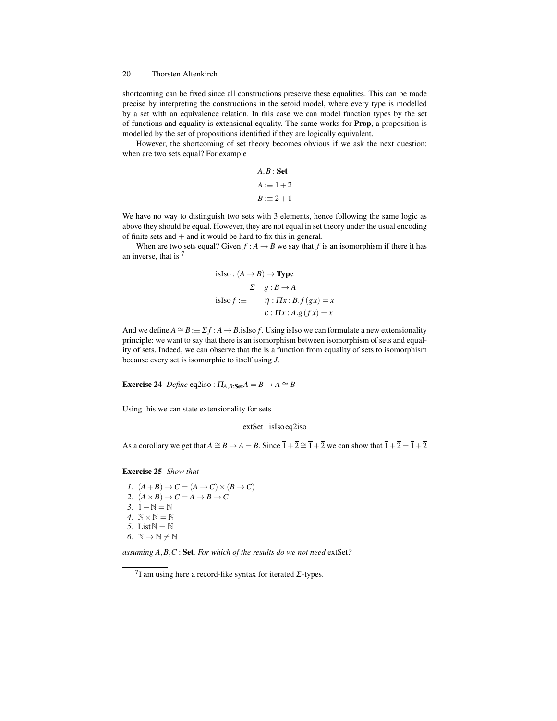shortcoming can be fixed since all constructions preserve these equalities. This can be made precise by interpreting the constructions in the setoid model, where every type is modelled by a set with an equivalence relation. In this case we can model function types by the set of functions and equality is extensional equality. The same works for Prop, a proposition is modelled by the set of propositions identified if they are logically equivalent.

However, the shortcoming of set theory becomes obvious if we ask the next question: when are two sets equal? For example

$$
A, B : Set
$$

$$
A := \overline{1} + \overline{2}
$$

$$
B := \overline{2} + \overline{1}
$$

We have no way to distinguish two sets with 3 elements, hence following the same logic as above they should be equal. However, they are not equal in set theory under the usual encoding of finite sets and  $+$  and it would be hard to fix this in general.

When are two sets equal? Given  $f : A \rightarrow B$  we say that  $f$  is an isomorphism if there it has an inverse, that is  $<sup>7</sup>$ </sup>

isIso : 
$$
(A \rightarrow B) \rightarrow \text{Type}
$$
  
\n $\Sigma$   $g : B \rightarrow A$   
\nisIso  $f := \eta : \Pi x : B.f(gx) = x$   
\n $\varepsilon : \Pi x : A.g(fx) = x$ 

And we define  $A \cong B := \Sigma f : A \to B$ .isIso *f*. Using isIso we can formulate a new extensionality principle: we want to say that there is an isomorphism between isomorphism of sets and equality of sets. Indeed, we can observe that the is a function from equality of sets to isomorphism because every set is isomorphic to itself using *J*.

**Exercise 24** *Define* eq2iso :  $\Pi_{A,B:Set}A = B \rightarrow A \cong B$ 

Using this we can state extensionality for sets

extSet : isIso eq2iso

As a corollary we get that  $A \cong B \to A = B$ . Since  $\overline{1} + \overline{2} \cong \overline{1} + \overline{2}$  we can show that  $\overline{1} + \overline{2} = \overline{1} + \overline{2}$ 

#### Exercise 25 *Show that*

*1.*  $(A+B) \rightarrow C = (A \rightarrow C) \times (B \rightarrow C)$ 2.  $(A \times B) \rightarrow C = A \rightarrow B \rightarrow C$ *3.*  $1 + N = N$ *4.*  $N \times N = N$ 5. List  $\mathbb{N} = \mathbb{N}$ 6.  $\mathbb{N} \to \mathbb{N} \neq \mathbb{N}$ 

*assuming A*,*B*,*C* : Set*. For which of the results do we not need* extSet*?*

<sup>&</sup>lt;sup>7</sup>I am using here a record-like syntax for iterated  $\Sigma$ -types.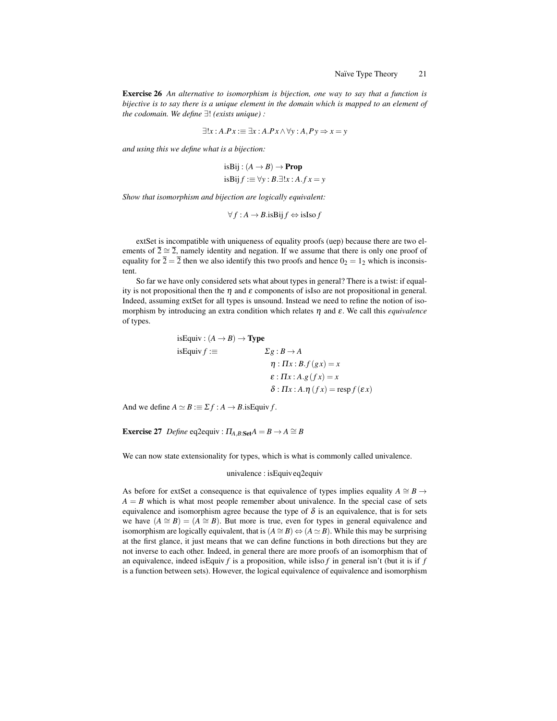Exercise 26 *An alternative to isomorphism is bijection, one way to say that a function is bijective is to say there is a unique element in the domain which is mapped to an element of the codomain. We define* ∃! *(exists unique) :*

$$
\exists !x : A.Px := \exists x : A.Px \land \forall y : A, Py \Rightarrow x = y
$$

*and using this we define what is a bijection:*

isBij : 
$$
(A \rightarrow B) \rightarrow \text{Prop}
$$
  
isBij  $f := \forall y : B.\exists!x : A.fx = y$ 

*Show that isomorphism and bijection are logically equivalent:*

$$
\forall f : A \to B \text{.} \text{isBij } f \Leftrightarrow \text{isIso } f
$$

extSet is incompatible with uniqueness of equality proofs (uep) because there are two elements of  $\overline{2} \cong \overline{2}$ , namely identity and negation. If we assume that there is only one proof of equality for  $\overline{2} = \overline{2}$  then we also identify this two proofs and hence  $0_2 = 1_2$  which is inconsistent.

So far we have only considered sets what about types in general? There is a twist: if equality is not propositional then the  $\eta$  and  $\varepsilon$  components of islso are not propositional in general. Indeed, assuming extSet for all types is unsound. Instead we need to refine the notion of isomorphism by introducing an extra condition which relates η and ε. We call this *equivalence* of types.

isEquiv: 
$$
(A \rightarrow B) \rightarrow \text{Type}
$$
  
\nisEquiv:  $f := \qquad \qquad \Sigma g : B \rightarrow A$   
\n $\eta : \Pi x : B.f(gx) = x$   
\n $\varepsilon : \Pi x : A.g(fx) = x$   
\n $\delta : \Pi x : A.\eta (fx) = \text{resp } f(\varepsilon x)$ 

And we define  $A \simeq B := \sum f : A \to B$ .isEquiv *f*.

**Exercise 27** *Define* eq2equiv :  $\Pi_{A,B:Set}A = B \rightarrow A \cong B$ 

We can now state extensionality for types, which is what is commonly called univalence.

#### univalence : isEquiv eq2equiv

As before for extSet a consequence is that equivalence of types implies equality  $A \cong B \rightarrow$  $A = B$  which is what most people remember about univalence. In the special case of sets equivalence and isomorphism agree because the type of  $\delta$  is an equivalence, that is for sets we have  $(A \cong B) = (A \cong B)$ . But more is true, even for types in general equivalence and isomorphism are logically equivalent, that is  $(A \cong B) \Leftrightarrow (A \cong B)$ . While this may be surprising at the first glance, it just means that we can define functions in both directions but they are not inverse to each other. Indeed, in general there are more proofs of an isomorphism that of an equivalence, indeed isEquiv *f* is a proposition, while isIso *f* in general isn't (but it is if *f* is a function between sets). However, the logical equivalence of equivalence and isomorphism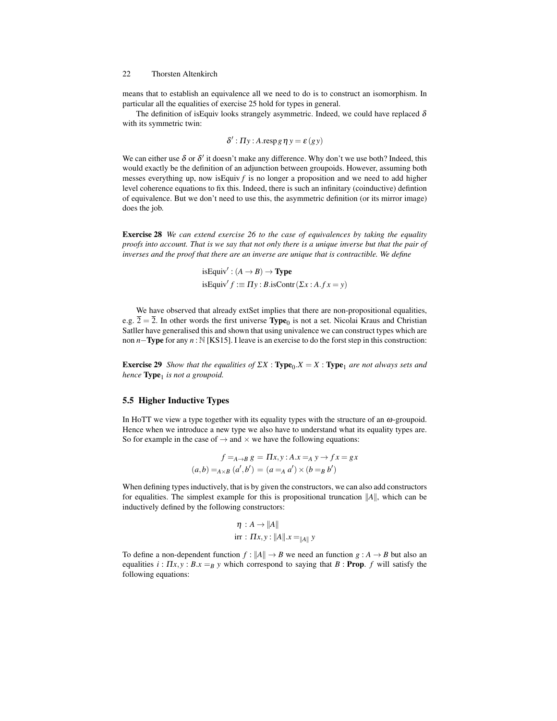means that to establish an equivalence all we need to do is to construct an isomorphism. In particular all the equalities of exercise 25 hold for types in general.

The definition of isEquiv looks strangely asymmetric. Indeed, we could have replaced  $\delta$ with its symmetric twin:

$$
\delta': \Pi y : A \cdot \operatorname{resp} g \eta y = \varepsilon (gy)
$$

We can either use  $\delta$  or  $\delta'$  it doesn't make any difference. Why don't we use both? Indeed, this would exactly be the definition of an adjunction between groupoids. However, assuming both messes everything up, now is Equiv  $f$  is no longer a proposition and we need to add higher level coherence equations to fix this. Indeed, there is such an infinitary (coinductive) defintion of equivalence. But we don't need to use this, the asymmetric definition (or its mirror image) does the job.

Exercise 28 *We can extend exercise 26 to the case of equivalences by taking the equality proofs into account. That is we say that not only there is a unique inverse but that the pair of inverses and the proof that there are an inverse are unique that is contractible. We define*

isEquiv': 
$$
(A \rightarrow B) \rightarrow \text{Type}
$$
  
isEquiv'  $f := \Pi y : B \text{.isContr}(\Sigma x : A.fx = y)$ 

We have observed that already extSet implies that there are non-propositional equalities, e.g.  $\overline{2} = \overline{2}$ . In other words the first universe **Type**<sub>0</sub> is not a set. Nicolai Kraus and Christian Satller have generalised this and shown that using univalence we can construct types which are non *n*−**Type** for any *n* : N [KS15]. I leave is an exercise to do the forst step in this construction:

**Exercise 29** *Show that the equalities of*  $\sum X$  : **Type**<sub>0</sub>. $X = X$  : **Type**<sub>1</sub> *are not always sets and hence* **Type**<sub>1</sub> is not a groupoid.

# 5.5 Higher Inductive Types

In HoTT we view a type together with its equality types with the structure of an  $\omega$ -groupoid. Hence when we introduce a new type we also have to understand what its equality types are. So for example in the case of  $\rightarrow$  and  $\times$  we have the following equations:

$$
f =_{A \to B} g = \Pi x, y : A \cdot x =_A y \to fx = gx
$$

$$
(a, b) =_{A \times B} (a', b') = (a =_A a') \times (b =_B b')
$$

When defining types inductively, that is by given the constructors, we can also add constructors for equalities. The simplest example for this is propositional truncation  $||A||$ , which can be inductively defined by the following constructors:

$$
\eta : A \to ||A||
$$
  
irr :  $\Pi x, y : ||A|| \cdot x =_{||A||} y$ 

To define a non-dependent function  $f : ||A|| \to B$  we need an function  $g : A \to B$  but also an equalities  $i : \Pi x, y : B x =_B y$  which correspond to saying that  $B : \textbf{Prop. } f$  will satisfy the following equations: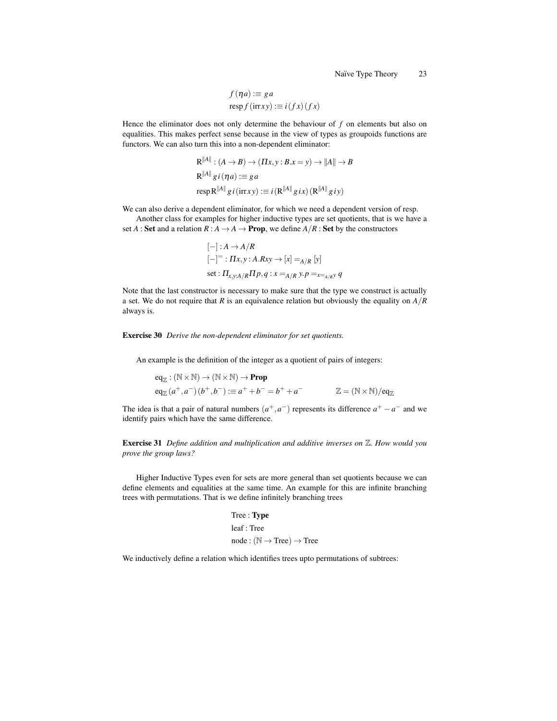$$
f(\eta a) := ga
$$
  
resp  $f(\text{irr} xy) := i(fx)(fx)$ 

Hence the eliminator does not only determine the behaviour of *f* on elements but also on equalities. This makes perfect sense because in the view of types as groupoids functions are functors. We can also turn this into a non-dependent eliminator:

$$
R^{\|A\|}: (A \to B) \to (\Pi x, y : B.x = y) \to \|A\| \to B
$$
  

$$
R^{\|A\|} g i (\eta a) := g a
$$
  

$$
resp R^{\|A\|} g i (irrxy) := i (R^{\|A\|} g ix) (R^{\|A\|} g iy)
$$

We can also derive a dependent eliminator, for which we need a dependent version of resp.

Another class for examples for higher inductive types are set quotients, that is we have a set *A* : **Set** and a relation  $R : A \to A \to \textbf{Prop}$ , we define  $A/R : \textbf{Set}$  by the constructors

$$
[-]: A \rightarrow A/R
$$
  

$$
[-] = : \Pi x, y : A.Rxy \rightarrow [x] =_{A/R} [y]
$$
  
set : 
$$
\Pi_{x,y:A/R} \Pi p, q : x =_{A/R} y. p =_{x=A/R} q
$$

Note that the last constructor is necessary to make sure that the type we construct is actually a set. We do not require that *R* is an equivalence relation but obviously the equality on *A*/*R* always is.

#### Exercise 30 *Derive the non-dependent eliminator for set quotients.*

An example is the definition of the integer as a quotient of pairs of integers:

$$
eq_{\mathbb{Z}} : (\mathbb{N} \times \mathbb{N}) \to (\mathbb{N} \times \mathbb{N}) \to \text{Prop}
$$
  
\n
$$
eq_{\mathbb{Z}}(a^+, a^-)(b^+, b^-) := a^+ + b^- = b^+ + a^- \qquad \mathbb{Z} = (\mathbb{N} \times \mathbb{N})/eq_{\mathbb{Z}}
$$

The idea is that a pair of natural numbers  $(a^+, a^-)$  represents its difference  $a^+ - a^-$  and we identify pairs which have the same difference.

Exercise 31 *Define addition and multiplication and additive inverses on* Z*. How would you prove the group laws?*

Higher Inductive Types even for sets are more general than set quotients because we can define elements and equalities at the same time. An example for this are infinite branching trees with permutations. That is we define infinitely branching trees

> Tree : Type leaf : Tree  $node : (\mathbb{N} \to Tree) \to Tree$

We inductively define a relation which identifies trees upto permutations of subtrees: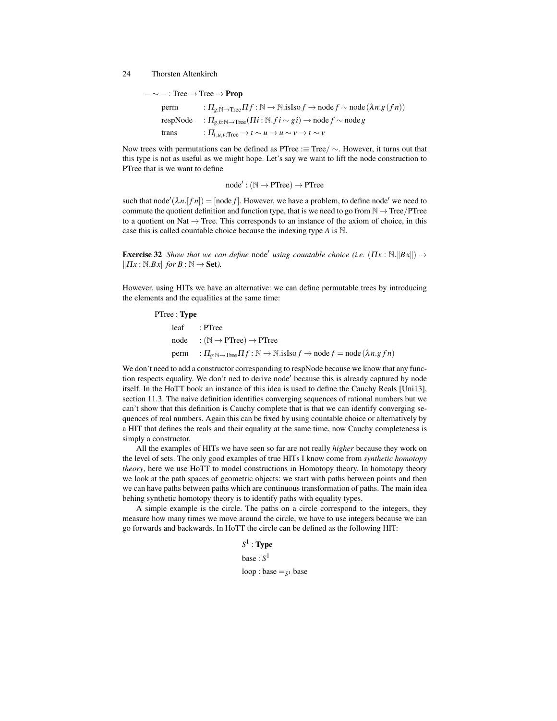$- \sim - : \text{Tree} \rightarrow \text{Tree} \rightarrow \text{Prop}$  $perm$  :  $\Pi_{g:\mathbb{N}\to\text{Tree}}\Pi f:\mathbb{N}\to\mathbb{N}$ .isIso  $f\to\text{node }f\sim\text{node}(\lambda n.g(fn))$  $respNode$  :  $\Pi_{g,h:\mathbb{N}\to\text{Tree}}(\Pi i:\mathbb{N}.fi\sim gi) \to node\,f \sim node\,g$ trans  $:\Pi_{t,u,v:\text{Tree}} \to t \sim u \to u \sim v \to t \sim v$ 

Now trees with permutations can be defined as PTree : $\equiv$  Tree/  $\sim$ . However, it turns out that this type is not as useful as we might hope. Let's say we want to lift the node construction to PTree that is we want to define

 $node': (\mathbb{N} \to \text{PTree}) \to \text{PTree}$ 

such that node<sup> $\ell(\lambda n. [fn]) = [\text{node } f]$ . However, we have a problem, to define node<sup> $\ell$ </sup> we need to</sup> commute the quotient definition and function type, that is we need to go from  $\mathbb{N} \to \text{Tree}/\text{PTree}$ to a quotient on Nat  $\rightarrow$  Tree. This corresponds to an instance of the axiom of choice, in this case this is called countable choice because the indexing type *A* is N.

**Exercise 32** *Show that we can define* node' *using countable choice (i.e.*  $(\Pi x : \mathbb{N} \cdot ||Bx||) \rightarrow$  $||\Pi x : \mathbb{N}.B x||$  *for*  $B : \mathbb{N} \to \mathbf{Set}$ *).* 

However, using HITs we have an alternative: we can define permutable trees by introducing the elements and the equalities at the same time:

| PTree : <b>Type</b> |  |                                                                                                                                                |
|---------------------|--|------------------------------------------------------------------------------------------------------------------------------------------------|
|                     |  | leaf : PTree                                                                                                                                   |
|                     |  | $node$ : ( $\mathbb{N} \rightarrow PTree$ ) $\rightarrow PTree$                                                                                |
|                     |  | perm $\qquad: \Pi_{g:\mathbb{N}\to \text{Tree}} \Pi f:\mathbb{N}\to \mathbb{N}$ .isIso $f\to \text{node } f = \text{node } (\lambda n. g f n)$ |

We don't need to add a constructor corresponding to respNode because we know that any function respects equality. We don't ned to derive node' because this is already captured by node itself. In the HoTT book an instance of this idea is used to define the Cauchy Reals [Uni13], section 11.3. The naive definition identifies converging sequences of rational numbers but we can't show that this definition is Cauchy complete that is that we can identify converging sequences of real numbers. Again this can be fixed by using countable choice or alternatively by a HIT that defines the reals and their equality at the same time, now Cauchy completeness is simply a constructor.

All the examples of HITs we have seen so far are not really *higher* because they work on the level of sets. The only good examples of true HITs I know come from *synthetic homotopy theory*, here we use HoTT to model constructions in Homotopy theory. In homotopy theory we look at the path spaces of geometric objects: we start with paths between points and then we can have paths between paths which are continuous transformation of paths. The main idea behing synthetic homotopy theory is to identify paths with equality types.

A simple example is the circle. The paths on a circle correspond to the integers, they measure how many times we move around the circle, we have to use integers because we can go forwards and backwards. In HoTT the circle can be defined as the following HIT:

> $S^1: \mathbf{Type}$ base : *S* 1 loop : base =*<sup>S</sup>* <sup>1</sup> base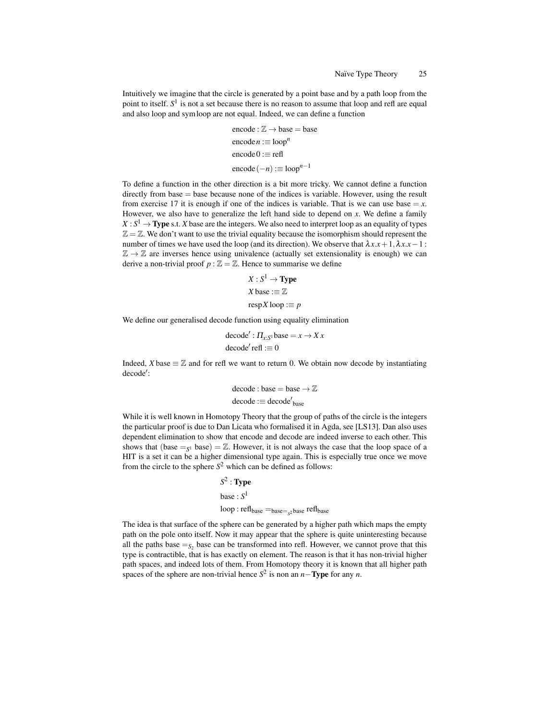Intuitively we imagine that the circle is generated by a point base and by a path loop from the point to itself. *S* 1 is not a set because there is no reason to assume that loop and refl are equal and also loop and symloop are not equal. Indeed, we can define a function

encode : 
$$
\mathbb{Z} \to \text{base} = \text{base}
$$
  
encode  $n := \text{loop}^n$   
encode  $0 := \text{refl}$   
encode  $(-n) := \text{loop}^{n-1}$ 

To define a function in the other direction is a bit more tricky. We cannot define a function directly from base = base because none of the indices is variable. However, using the result from exercise 17 it is enough if one of the indices is variable. That is we can use base  $=x$ . However, we also have to generalize the left hand side to depend on *x*. We define a family  $X: S^1 \to \textbf{Type s.t. } X$  base are the integers. We also need to interpret loop as an equality of types  $\mathbb{Z} = \mathbb{Z}$ . We don't want to use the trivial equality because the isomorphism should represent the number of times we have used the loop (and its direction). We observe that  $\lambda x.x + 1, \lambda x.x - 1$ :  $\mathbb{Z} \to \mathbb{Z}$  are inverses hence using univalence (actually set extensionality is enough) we can derive a non-trivial proof  $p : \mathbb{Z} = \mathbb{Z}$ . Hence to summarise we define

$$
X: S1 \to \text{Type}
$$
  

$$
X \text{ base} := \mathbb{Z}
$$
  

$$
\text{resp } X \text{ loop} := p
$$

We define our generalised decode function using equality elimination

decode' : 
$$
\Pi_{x:S^1}
$$
base =  $x \rightarrow Xx$   
decode' refl := 0

Indeed, *X* base  $\equiv \mathbb{Z}$  and for refl we want to return 0. We obtain now decode by instantiating decode':

$$
\begin{aligned} \text{decode}: \text{base} = \text{base} \rightarrow \mathbb{Z} \\ \text{decode}: \equiv \text{decode'}_{\text{base}} \end{aligned}
$$

While it is well known in Homotopy Theory that the group of paths of the circle is the integers the particular proof is due to Dan Licata who formalised it in Agda, see [LS13]. Dan also uses dependent elimination to show that encode and decode are indeed inverse to each other. This shows that  $(base =<sub>S</sub><sup>1</sup> base) = \mathbb{Z}$ . However, it is not always the case that the loop space of a HIT is a set it can be a higher dimensional type again. This is especially true once we move from the circle to the sphere  $S^2$  which can be defined as follows:

> $S^2$  : **Type** base : *S* 1 loop : reflbase =base=*<sup>S</sup>* <sup>2</sup> base reflbase

The idea is that surface of the sphere can be generated by a higher path which maps the empty path on the pole onto itself. Now it may appear that the sphere is quite uninteresting because all the paths base  $=_{S_2}$  base can be transformed into refl. However, we cannot prove that this type is contractible, that is has exactly on element. The reason is that it has non-trivial higher path spaces, and indeed lots of them. From Homotopy theory it is known that all higher path spaces of the sphere are non-trivial hence  $S^2$  is non an *n*−**Type** for any *n*.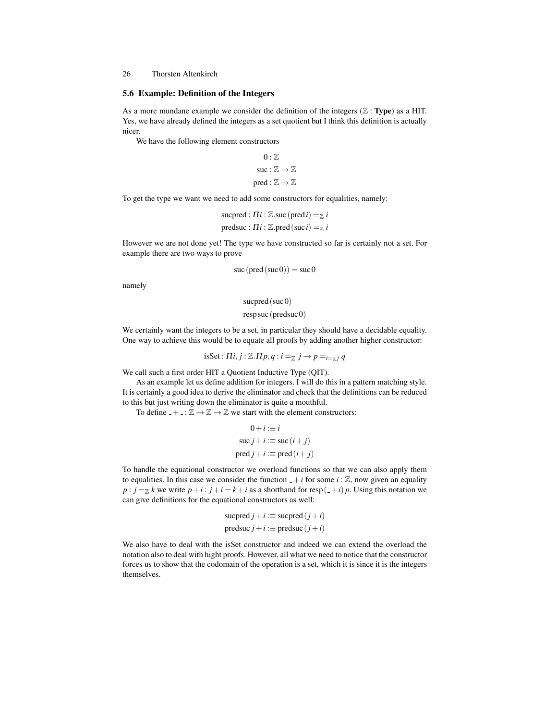#### 5.6 Example: Definition of the Integers

As a more mundane example we consider the definition of the integers  $(\mathbb{Z} : \mathbf{Type})$  as a HIT. Yes, we have already defined the integers as a set quotient but I think this definition is actually nicer.

We have the following element constructors

```
0: \mathbb{Z}suc : \mathbb{Z} \to \mathbb{Z}pred : \mathbb{Z} \rightarrow \mathbb{Z}
```
To get the type we want we need to add some constructors for equalities, namely:

```
sucpred : \Pi i : \mathbb{Z}.suc (pred i) = \mathbb{Z} i
predsuc : \Pi i : \mathbb{Z}.pred (suc i) = \mathbb{Z} i
```
However we are not done yet! The type we have constructed so far is certainly not a set. For example there are two ways to prove

$$
suc (pred (suc 0)) = suc 0
$$

namely

sucpred $(suc 0)$ 

resp suc (predsuc 0)

We certainly want the integers to be a set, in particular they should have a decidable equality. One way to achieve this would be to equate all proofs by adding another higher constructor:

 $i$ sSet :  $\Pi i, j : \mathbb{Z}. \Pi p, q : i =_{\mathbb{Z}} j \rightarrow p =_{i =_{\mathbb{Z}} j} q$ 

We call such a first order HIT a Quotient Inductive Type (QIT).

As an example let us define addition for integers. I will do this in a pattern matching style. It is certainly a good idea to derive the eliminator and check that the definitions can be reduced to this but just writing down the eliminator is quite a mouthful.

To define  $- + \cdot \mathbb{Z} \to \mathbb{Z} \to \mathbb{Z}$  we start with the element constructors:

$$
0 + i := i
$$
  
\n
$$
suc j + i := suc(i + j)
$$
  
\n
$$
pred j + i := pred(i + j)
$$

To handle the equational constructor we overload functions so that we can also apply them to equalities. In this case we consider the function  $-+i$  for some  $i : \mathbb{Z}$ , now given an equality  $p : j = \mathbb{Z}$  k we write  $p + i : j + i = k + i$  as a shorthand for resp $(-i)$  *p*. Using this notation we can give definitions for the equational constructors as well:

$$
sucpred j + i := \text{supered} (j + i)
$$

$$
predsuc j + i := \text{pred} (j + i)
$$

We also have to deal with the isSet constructor and indeed we can extend the overload the notation also to deal with hight proofs. However, all what we need to notice that the constructor forces us to show that the codomain of the operation is a set, which it is since it is the integers themselves.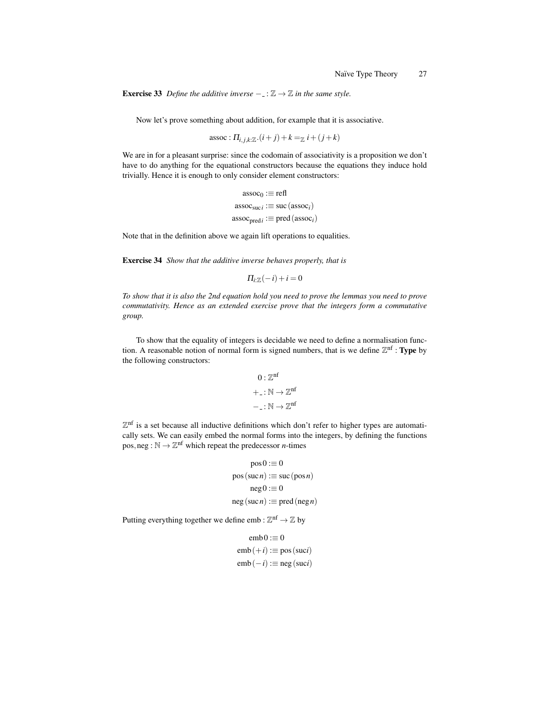**Exercise 33** *Define the additive inverse*  $-\cdot \mathbb{Z} \rightarrow \mathbb{Z}$  *in the same style.* 

Now let's prove something about addition, for example that it is associative.

 $\text{assoc}: \Pi_{i,j,k:\mathbb{Z}} \cdot (i+j) + k = \mathbb{Z} \cdot i + (j+k)$ 

We are in for a pleasant surprise: since the codomain of associativity is a proposition we don't have to do anything for the equational constructors because the equations they induce hold trivially. Hence it is enough to only consider element constructors:

> $assoc_0 := ref1$  $\operatorname{assoc}_{\operatorname{suc}i} := \operatorname{suc}(\operatorname{assoc}_i)$ assocpred*<sup>i</sup>* :≡ pred(assoc*i*)

Note that in the definition above we again lift operations to equalities.

Exercise 34 *Show that the additive inverse behaves properly, that is*

$$
\Pi_{i:\mathbb{Z}}(-i)+i=0
$$

*To show that it is also the 2nd equation hold you need to prove the lemmas you need to prove commutativity. Hence as an extended exercise prove that the integers form a commutative group.*

To show that the equality of integers is decidable we need to define a normalisation function. A reasonable notion of normal form is signed numbers, that is we define  $\mathbb{Z}^{\text{nf}}$  : Type by the following constructors:

$$
0: \mathbb{Z}^{nf}
$$

$$
+_{-}: \mathbb{N} \to \mathbb{Z}^{nf}
$$

$$
-_{-}: \mathbb{N} \to \mathbb{Z}^{nf}
$$

 $\mathbb{Z}^{\text{nf}}$  is a set because all inductive definitions which don't refer to higher types are automatically sets. We can easily embed the normal forms into the integers, by defining the functions pos, neg :  $\mathbb{N} \to \mathbb{Z}^{n}$  which repeat the predecessor *n*-times

$$
pos 0 := 0
$$
  
pos (suc*n*) := suc (pos*n*)  
neg 0 := 0  
neg (suc*n*) := pred (neg *n*)

Putting everything together we define emb :  $\mathbb{Z}^{\text{nf}} \to \mathbb{Z}$  by

$$
emb0 := 0
$$
  
emb(+*i*) := pos (suci)  
emb(-*i*) := neg (suci)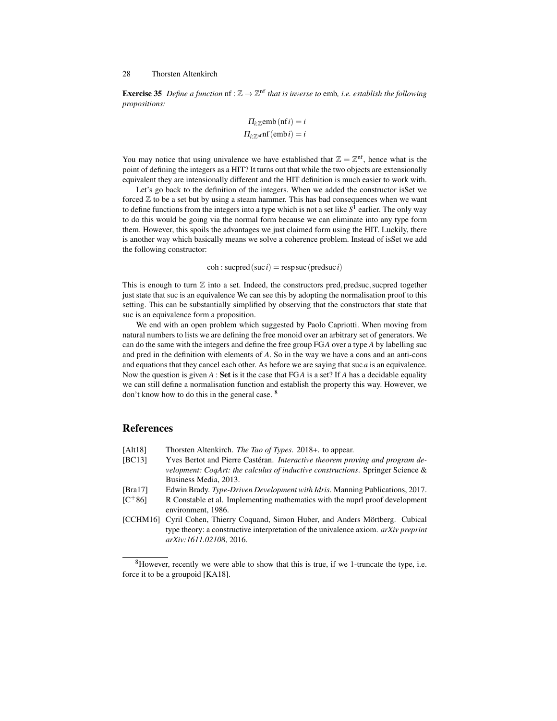**Exercise 35** Define a function  $\text{nf} : \mathbb{Z} \to \mathbb{Z}^{\text{nf}}$  that is inverse to emb, i.e. establish the following *propositions:*

$$
\Pi_{i:\mathbb{Z}}\text{emb (nf }i) = i
$$

$$
\Pi_{i:\mathbb{Z}}\text{nf (emb }i) = i
$$

You may notice that using univalence we have established that  $\mathbb{Z} = \mathbb{Z}^{n}$ , hence what is the point of defining the integers as a HIT? It turns out that while the two objects are extensionally equivalent they are intensionally different and the HIT definition is much easier to work with.

Let's go back to the definition of the integers. When we added the constructor isSet we forced  $\mathbb Z$  to be a set but by using a steam hammer. This has bad consequences when we want to define functions from the integers into a type which is not a set like  $S^1$  earlier. The only way to do this would be going via the normal form because we can eliminate into any type form them. However, this spoils the advantages we just claimed form using the HIT. Luckily, there is another way which basically means we solve a coherence problem. Instead of isSet we add the following constructor:

 $\cosh$ : sucpred (suc *i*) = resp suc (predsuc *i*)

This is enough to turn  $\mathbb Z$  into a set. Indeed, the constructors pred, predsuc, sucpred together just state that suc is an equivalence We can see this by adopting the normalisation proof to this setting. This can be substantially simplified by observing that the constructors that state that suc is an equivalence form a proposition.

We end with an open problem which suggested by Paolo Capriotti. When moving from natural numbers to lists we are defining the free monoid over an arbitrary set of generators. We can do the same with the integers and define the free group FG*A* over a type *A* by labelling suc and pred in the definition with elements of *A*. So in the way we have a cons and an anti-cons and equations that they cancel each other. As before we are saying that suc $a$  is an equivalence. Now the question is given *A* : Set is it the case that FG*A* is a set? If *A* has a decidable equality we can still define a normalisation function and establish the property this way. However, we don't know how to do this in the general case. <sup>8</sup>

# References

- [Alt18] Thorsten Altenkirch. *The Tao of Types*. 2018+. to appear.
- [BC13] Yves Bertot and Pierre Castéran. *Interactive theorem proving and program development: CoqArt: the calculus of inductive constructions*. Springer Science & Business Media, 2013.
- [Bra17] Edwin Brady. *Type-Driven Development with Idris*. Manning Publications, 2017.
- $[C+86]$  R Constable et al. Implementing mathematics with the nuprl proof development environment, 1986.
- [CCHM16] Cyril Cohen, Thierry Coquand, Simon Huber, and Anders Mörtberg. Cubical type theory: a constructive interpretation of the univalence axiom. *arXiv preprint arXiv:1611.02108*, 2016.

 $8$ However, recently we were able to show that this is true, if we 1-truncate the type, i.e. force it to be a groupoid [KA18].